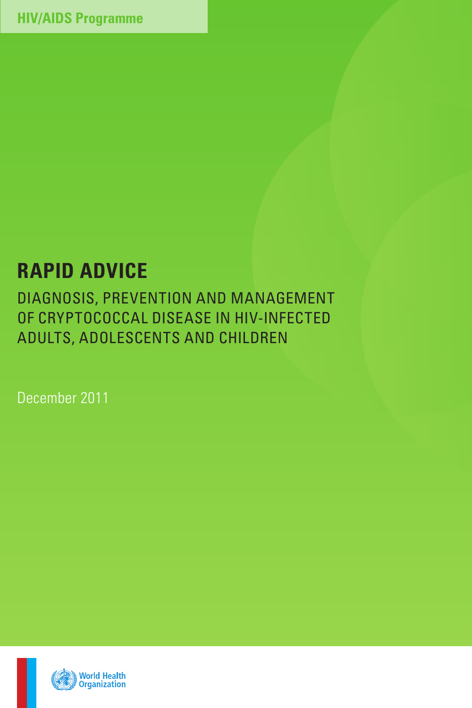# **Rapid Advice**

Diagnosis, Prevention and Management of Cryptococc al Disease in HIV -infected ADULTS, ADOLESCENTS AND CHILDREN

December 2011

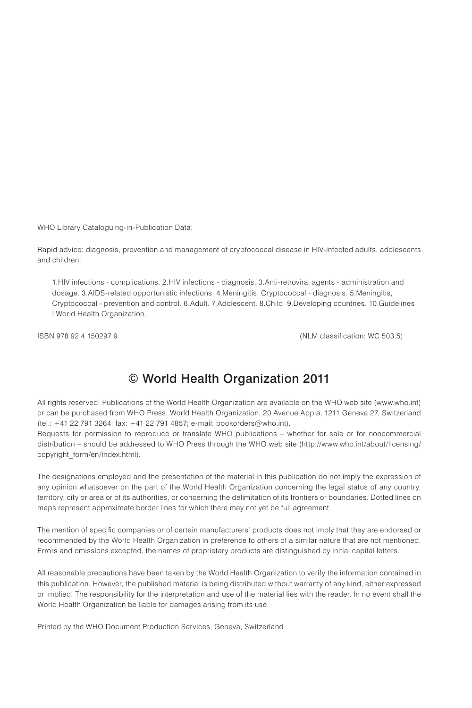WHO Library Cataloguing-in-Publication Data:

Rapid advice: diagnosis, prevention and management of cryptococcal disease in HIV-infected adults, adolescents and children.

1.HIV infections - complications. 2.HIV infections - diagnosis. 3.Anti-retroviral agents - administration and dosage. 3.AIDS-related opportunistic infections. 4.Meningitis, Cryptococcal - diagnosis. 5.Meningitis, Cryptococcal - prevention and control. 6.Adult. 7.Adolescent. 8.Child. 9.Developing countries. 10.Guidelines I.World Health Organization.

ISBN 978 92 4 150297 9 (NLM classification: WC 503.5)

## © World Health Organization 2011

All rights reserved. Publications of the World Health Organization are available on the WHO web site (www.who.int) or can be purchased from WHO Press, World Health Organization, 20 Avenue Appia, 1211 Geneva 27, Switzerland (tel.: +41 22 791 3264; fax: +41 22 791 4857; e-mail: bookorders@who.int).

Requests for permission to reproduce or translate WHO publications – whether for sale or for noncommercial distribution – should be addressed to WHO Press through the WHO web site (http://www.who.int/about/licensing/ copyright\_form/en/index.html).

The designations employed and the presentation of the material in this publication do not imply the expression of any opinion whatsoever on the part of the World Health Organization concerning the legal status of any country, territory, city or area or of its authorities, or concerning the delimitation of its frontiers or boundaries. Dotted lines on maps represent approximate border lines for which there may not yet be full agreement.

The mention of specific companies or of certain manufacturers' products does not imply that they are endorsed or recommended by the World Health Organization in preference to others of a similar nature that are not mentioned. Errors and omissions excepted, the names of proprietary products are distinguished by initial capital letters.

All reasonable precautions have been taken by the World Health Organization to verify the information contained in this publication. However, the published material is being distributed without warranty of any kind, either expressed or implied. The responsibility for the interpretation and use of the material lies with the reader. In no event shall the World Health Organization be liable for damages arising from its use.

Printed by the WHO Document Production Services, Geneva, Switzerland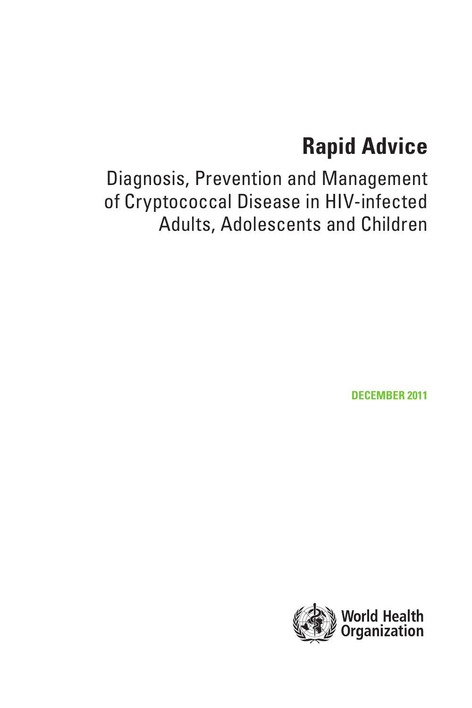# **Rapid Advice**

Diagnosis, Prevention and Management of Cryptococcal Disease in HIV-infected Adults, Adolescents and Children

**DECEMBER 2011**

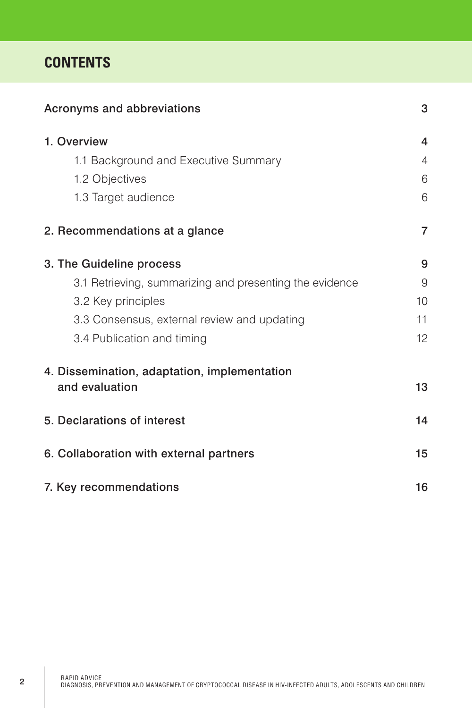## **Contents**

| Acronyms and abbreviations                              | 3              |
|---------------------------------------------------------|----------------|
| 1. Overview                                             | $\overline{4}$ |
| 1.1 Background and Executive Summary                    | 4              |
| 1.2 Objectives                                          | 6              |
| 1.3 Target audience                                     | 6              |
| 2. Recommendations at a glance                          | $\overline{7}$ |
| 3. The Guideline process                                | 9              |
| 3.1 Retrieving, summarizing and presenting the evidence | 9              |
| 3.2 Key principles                                      | 10             |
| 3.3 Consensus, external review and updating             | 11             |
| 3.4 Publication and timing                              | 12             |
| 4. Dissemination, adaptation, implementation            |                |
| and evaluation                                          | 13             |
| 5. Declarations of interest                             | 14             |
| 6. Collaboration with external partners                 | 15             |
| 7. Key recommendations                                  | 16             |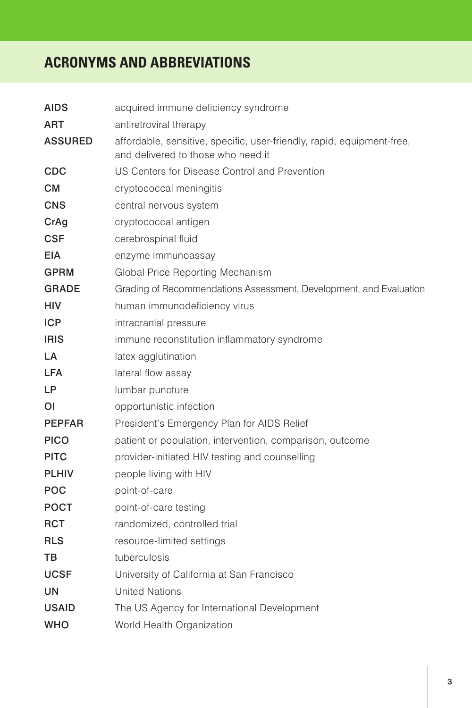## **Acronyms and abbreviations**

| <b>AIDS</b>    | acquired immune deficiency syndrome                                                                          |  |  |  |
|----------------|--------------------------------------------------------------------------------------------------------------|--|--|--|
| <b>ART</b>     | antiretroviral therapy                                                                                       |  |  |  |
| <b>ASSURED</b> | affordable, sensitive, specific, user-friendly, rapid, equipment-free,<br>and delivered to those who need it |  |  |  |
| <b>CDC</b>     | US Centers for Disease Control and Prevention                                                                |  |  |  |
| <b>CM</b>      | cryptococcal meningitis                                                                                      |  |  |  |
| <b>CNS</b>     | central nervous system                                                                                       |  |  |  |
| CrAg           | cryptococcal antigen                                                                                         |  |  |  |
| <b>CSF</b>     | cerebrospinal fluid                                                                                          |  |  |  |
| <b>EIA</b>     | enzyme immunoassay                                                                                           |  |  |  |
| <b>GPRM</b>    | Global Price Reporting Mechanism                                                                             |  |  |  |
| <b>GRADE</b>   | Grading of Recommendations Assessment, Development, and Evaluation                                           |  |  |  |
| HIV            | human immunodeficiency virus                                                                                 |  |  |  |
| <b>ICP</b>     | intracranial pressure                                                                                        |  |  |  |
| <b>IRIS</b>    | immune reconstitution inflammatory syndrome                                                                  |  |  |  |
| LA             | latex agglutination                                                                                          |  |  |  |
| <b>LFA</b>     | lateral flow assay                                                                                           |  |  |  |
| LP             | lumbar puncture                                                                                              |  |  |  |
| ΟI             | opportunistic infection                                                                                      |  |  |  |
| <b>PEPFAR</b>  | President's Emergency Plan for AIDS Relief                                                                   |  |  |  |
| <b>PICO</b>    | patient or population, intervention, comparison, outcome                                                     |  |  |  |
| <b>PITC</b>    | provider-initiated HIV testing and counselling                                                               |  |  |  |
| <b>PLHIV</b>   | people living with HIV                                                                                       |  |  |  |
| <b>POC</b>     | point-of-care                                                                                                |  |  |  |
| <b>POCT</b>    | point-of-care testing                                                                                        |  |  |  |
| <b>RCT</b>     | randomized, controlled trial                                                                                 |  |  |  |
| <b>RLS</b>     | resource-limited settings                                                                                    |  |  |  |
| тв             | tuberculosis                                                                                                 |  |  |  |
| <b>UCSF</b>    | University of California at San Francisco                                                                    |  |  |  |
| UN             | <b>United Nations</b>                                                                                        |  |  |  |
| <b>USAID</b>   | The US Agency for International Development                                                                  |  |  |  |
| <b>WHO</b>     | World Health Organization                                                                                    |  |  |  |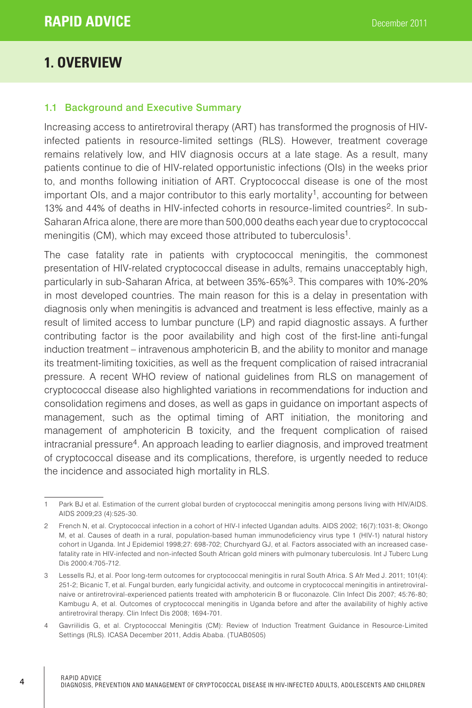## **1. Overview**

#### 1.1 Background and Executive Summary

Increasing access to antiretroviral therapy (ART) has transformed the prognosis of HIVinfected patients in resource-limited settings (RLS). However, treatment coverage remains relatively low, and HIV diagnosis occurs at a late stage. As a result, many patients continue to die of HIV-related opportunistic infections (OIs) in the weeks prior to, and months following initiation of ART. Cryptococcal disease is one of the most important OIs, and a major contributor to this early mortality<sup>1</sup>, accounting for between 13% and 44% of deaths in HIV-infected cohorts in resource-limited countries2. In sub-Saharan Africa alone, there are more than 500,000 deaths each year due to cryptococcal meningitis (CM), which may exceed those attributed to tuberculosis<sup>1</sup>.

The case fatality rate in patients with cryptococcal meningitis, the commonest presentation of HIV-related cryptococcal disease in adults, remains unacceptably high, particularly in sub-Saharan Africa, at between 35%-65%3. This compares with 10%-20% in most developed countries. The main reason for this is a delay in presentation with diagnosis only when meningitis is advanced and treatment is less effective, mainly as a result of limited access to lumbar puncture (LP) and rapid diagnostic assays. A further contributing factor is the poor availability and high cost of the first-line anti-fungal induction treatment – intravenous amphotericin B, and the ability to monitor and manage its treatment-limiting toxicities, as well as the frequent complication of raised intracranial pressure. A recent WHO review of national guidelines from RLS on management of cryptococcal disease also highlighted variations in recommendations for induction and consolidation regimens and doses, as well as gaps in guidance on important aspects of management, such as the optimal timing of ART initiation, the monitoring and management of amphotericin B toxicity, and the frequent complication of raised intracranial pressure<sup>4</sup>. An approach leading to earlier diagnosis, and improved treatment of cryptococcal disease and its complications, therefore, is urgently needed to reduce the incidence and associated high mortality in RLS.

<sup>1</sup> Park BJ et al. Estimation of the current global burden of cryptococcal meningitis among persons living with HIV/AIDS. AIDS 2009;23 (4):525-30.

<sup>2</sup> French N, et al. Cryptococcal infection in a cohort of HIV-I infected Ugandan adults. AIDS 2002; 16(7):1031-8; Okongo M, et al. Causes of death in a rural, population-based human immunodeficiency virus type 1 (HIV-1) natural history cohort in Uganda. Int J Epidemiol 1998;27: 698-702; Churchyard GJ, et al. Factors associated with an increased casefatality rate in HIV-infected and non-infected South African gold miners with pulmonary tuberculosis. Int J Tuberc Lung Dis 2000:4:705-712.

<sup>3</sup> Lessells RJ, et al. Poor long-term outcomes for cryptococcal meningitis in rural South Africa. S Afr Med J. 2011; 101(4): 251-2; Bicanic T, et al. Fungal burden, early fungicidal activity, and outcome in cryptococcal meningitis in antiretroviralnaive or antiretroviral-experienced patients treated with amphotericin B or fluconazole. Clin Infect Dis 2007; 45:76-80; Kambugu A, et al. Outcomes of cryptococcal meningitis in Uganda before and after the availability of highly active antiretroviral therapy. Clin Infect Dis 2008; 1694-701.

<sup>4</sup> Gavriilidis G, et al. Cryptococcal Meningitis (CM): Review of Induction Treatment Guidance in Resource-Limited Settings (RLS). ICASA December 2011, Addis Ababa. (TUAB0505)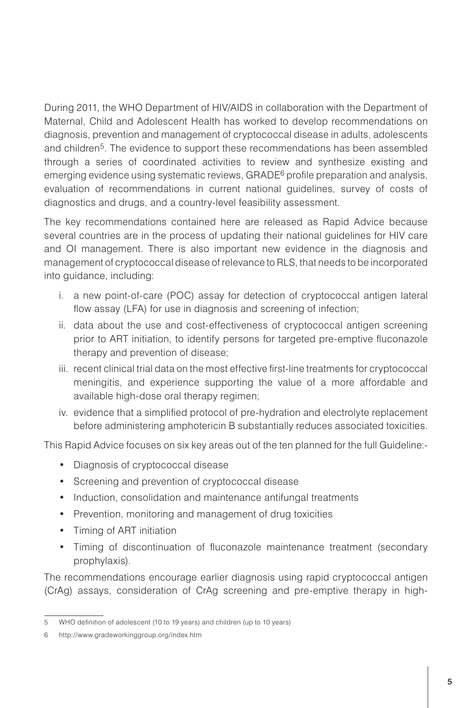During 2011, the WHO Department of HIV/AIDS in collaboration with the Department of Maternal, Child and Adolescent Health has worked to develop recommendations on diagnosis, prevention and management of cryptococcal disease in adults, adolescents and children<sup>5</sup>. The evidence to support these recommendations has been assembled through a series of coordinated activities to review and synthesize existing and emerging evidence using systematic reviews, GRADE<sup>6</sup> profile preparation and analysis, evaluation of recommendations in current national guidelines, survey of costs of diagnostics and drugs, and a country-level feasibility assessment.

The key recommendations contained here are released as Rapid Advice because several countries are in the process of updating their national guidelines for HIV care and OI management. There is also important new evidence in the diagnosis and management of cryptococcal disease of relevance to RLS, that needs to be incorporated into guidance, including:

- i. a new point-of-care (POC) assay for detection of cryptococcal antigen lateral flow assay (LFA) for use in diagnosis and screening of infection;
- ii. data about the use and cost-effectiveness of cryptococcal antigen screening prior to ART initiation, to identify persons for targeted pre-emptive fluconazole therapy and prevention of disease;
- iii. recent clinical trial data on the most effective first-line treatments for cryptococcal meningitis, and experience supporting the value of a more affordable and available high-dose oral therapy regimen;
- iv. evidence that a simplified protocol of pre-hydration and electrolyte replacement before administering amphotericin B substantially reduces associated toxicities.

This Rapid Advice focuses on six key areas out of the ten planned for the full Guideline:-

- • Diagnosis of cryptococcal disease
- Screening and prevention of cryptococcal disease
- Induction, consolidation and maintenance antifungal treatments
- Prevention, monitoring and management of drug toxicities
- Timing of ART initiation
- • Timing of discontinuation of fluconazole maintenance treatment (secondary prophylaxis).

The recommendations encourage earlier diagnosis using rapid cryptococcal antigen (CrAg) assays, consideration of CrAg screening and pre-emptive therapy in high-

<sup>5</sup> WHO definition of adolescent (10 to 19 years) and children (up to 10 years)

<sup>6</sup> http://www.gradeworkinggroup.org/index.htm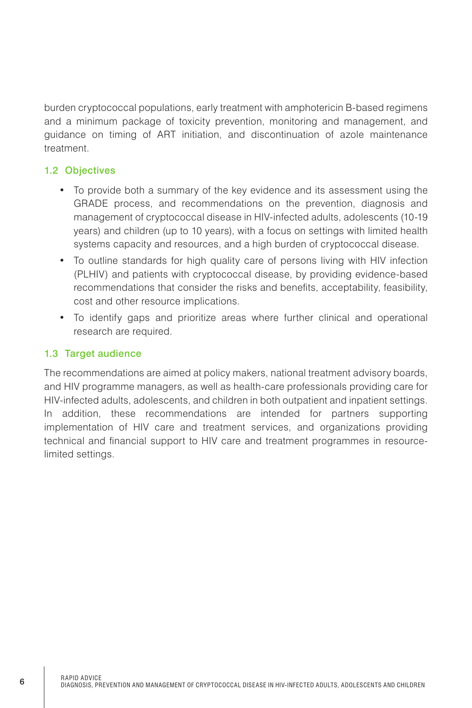burden cryptococcal populations, early treatment with amphotericin B-based regimens and a minimum package of toxicity prevention, monitoring and management, and guidance on timing of ART initiation, and discontinuation of azole maintenance treatment.

### 1.2 Objectives

- To provide both a summary of the key evidence and its assessment using the GRADE process, and recommendations on the prevention, diagnosis and management of cryptococcal disease in HIV-infected adults, adolescents (10-19 years) and children (up to 10 years), with a focus on settings with limited health systems capacity and resources, and a high burden of cryptococcal disease.
- To outline standards for high quality care of persons living with HIV infection (PLHIV) and patients with cryptococcal disease, by providing evidence-based recommendations that consider the risks and benefits, acceptability, feasibility, cost and other resource implications.
- To identify gaps and prioritize areas where further clinical and operational research are required.

#### 1.3 Target audience

The recommendations are aimed at policy makers, national treatment advisory boards, and HIV programme managers, as well as health-care professionals providing care for HIV-infected adults, adolescents, and children in both outpatient and inpatient settings. In addition, these recommendations are intended for partners supporting implementation of HIV care and treatment services, and organizations providing technical and financial support to HIV care and treatment programmes in resourcelimited settings.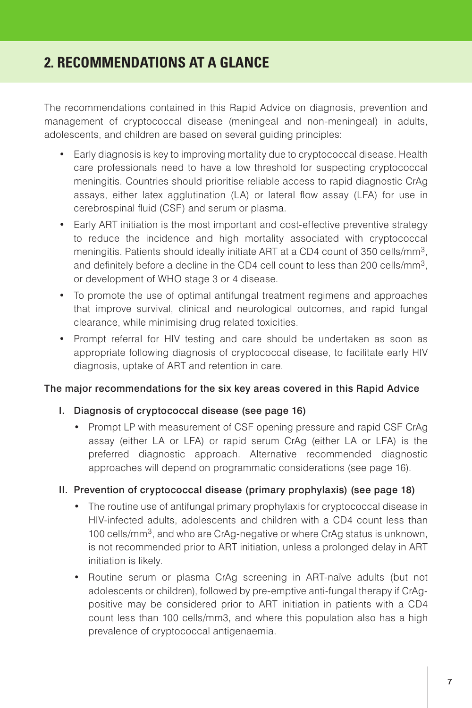## **2. Recommendations at a glance**

The recommendations contained in this Rapid Advice on diagnosis, prevention and management of cryptococcal disease (meningeal and non-meningeal) in adults, adolescents, and children are based on several guiding principles:

- Early diagnosis is key to improving mortality due to cryptococcal disease. Health care professionals need to have a low threshold for suspecting cryptococcal meningitis. Countries should prioritise reliable access to rapid diagnostic CrAg assays, either latex agglutination (LA) or lateral flow assay (LFA) for use in cerebrospinal fluid (CSF) and serum or plasma.
- Early ART initiation is the most important and cost-effective preventive strategy to reduce the incidence and high mortality associated with cryptococcal meningitis. Patients should ideally initiate ART at a CD4 count of 350 cells/mm3, and definitely before a decline in the CD4 cell count to less than 200 cells/mm3, or development of WHO stage 3 or 4 disease.
- • To promote the use of optimal antifungal treatment regimens and approaches that improve survival, clinical and neurological outcomes, and rapid fungal clearance, while minimising drug related toxicities.
- • Prompt referral for HIV testing and care should be undertaken as soon as appropriate following diagnosis of cryptococcal disease, to facilitate early HIV diagnosis, uptake of ART and retention in care.

## The major recommendations for the six key areas covered in this Rapid Advice

## I. Diagnosis of cryptococcal disease (see page 16)

• Prompt LP with measurement of CSF opening pressure and rapid CSF CrAg assay (either LA or LFA) or rapid serum CrAg (either LA or LFA) is the preferred diagnostic approach. Alternative recommended diagnostic approaches will depend on programmatic considerations (see page 16).

## II. Prevention of cryptococcal disease (primary prophylaxis) (see page 18)

- The routine use of antifungal primary prophylaxis for cryptococcal disease in HIV-infected adults, adolescents and children with a CD4 count less than 100 cells/mm3, and who are CrAg-negative or where CrAg status is unknown, is not recommended prior to ART initiation, unless a prolonged delay in ART initiation is likely.
- Routine serum or plasma CrAg screening in ART-naïve adults (but not adolescents or children), followed by pre-emptive anti-fungal therapy if CrAgpositive may be considered prior to ART initiation in patients with a CD4 count less than 100 cells/mm3, and where this population also has a high prevalence of cryptococcal antigenaemia.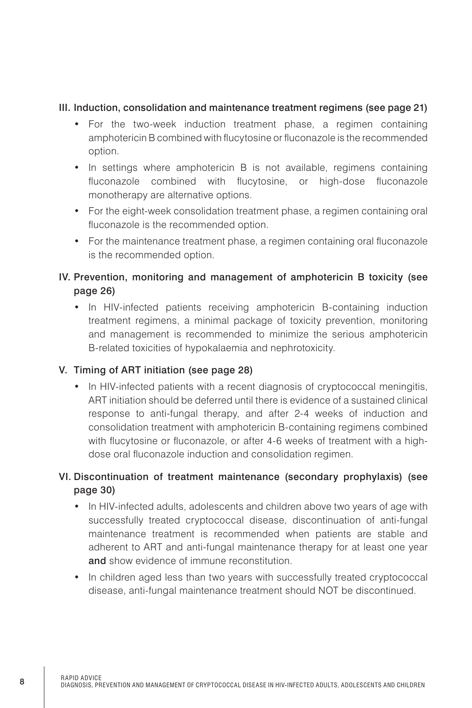### III. Induction, consolidation and maintenance treatment regimens (see page 21)

- For the two-week induction treatment phase, a regimen containing amphotericin B combined with flucytosine or fluconazole is the recommended option.
- In settings where amphotericin B is not available, regimens containing fluconazole combined with flucytosine, or high-dose fluconazole monotherapy are alternative options.
- For the eight-week consolidation treatment phase, a regimen containing oral fluconazole is the recommended option.
- For the maintenance treatment phase, a regimen containing oral fluconazole is the recommended option.

## IV. Prevention, monitoring and management of amphotericin B toxicity (see page 26)

• In HIV-infected patients receiving amphotericin B-containing induction treatment regimens, a minimal package of toxicity prevention, monitoring and management is recommended to minimize the serious amphotericin B-related toxicities of hypokalaemia and nephrotoxicity.

## V. Timing of ART initiation (see page 28)

• In HIV-infected patients with a recent diagnosis of cryptococcal meningitis, ART initiation should be deferred until there is evidence of a sustained clinical response to anti-fungal therapy, and after 2-4 weeks of induction and consolidation treatment with amphotericin B-containing regimens combined with flucytosine or fluconazole, or after 4-6 weeks of treatment with a highdose oral fluconazole induction and consolidation regimen.

## VI. Discontinuation of treatment maintenance (secondary prophylaxis) (see page 30)

- In HIV-infected adults, adolescents and children above two years of age with successfully treated cryptococcal disease, discontinuation of anti-fungal maintenance treatment is recommended when patients are stable and adherent to ART and anti-fungal maintenance therapy for at least one year and show evidence of immune reconstitution.
- In children aged less than two years with successfully treated cryptococcal disease, anti-fungal maintenance treatment should NOT be discontinued.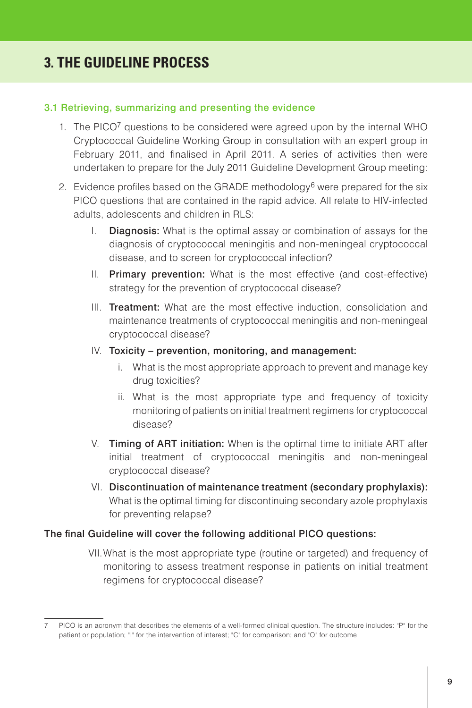## **3. The Guideline process**

#### 3.1 Retrieving, summarizing and presenting the evidence

- 1. The PICO7 questions to be considered were agreed upon by the internal WHO Cryptococcal Guideline Working Group in consultation with an expert group in February 2011, and finalised in April 2011. A series of activities then were undertaken to prepare for the July 2011 Guideline Development Group meeting:
- 2. Evidence profiles based on the GRADE methodology<sup>6</sup> were prepared for the six PICO questions that are contained in the rapid advice. All relate to HIV-infected adults, adolescents and children in RLS:
	- I. **Diagnosis:** What is the optimal assay or combination of assays for the diagnosis of cryptococcal meningitis and non-meningeal cryptococcal disease, and to screen for cryptococcal infection?
	- II. Primary prevention: What is the most effective (and cost-effective) strategy for the prevention of cryptococcal disease?
	- III. **Treatment:** What are the most effective induction, consolidation and maintenance treatments of cryptococcal meningitis and non-meningeal cryptococcal disease?
	- IV. Toxicity prevention, monitoring, and management:
		- i. What is the most appropriate approach to prevent and manage key drug toxicities?
		- ii. What is the most appropriate type and frequency of toxicity monitoring of patients on initial treatment regimens for cryptococcal disease?
	- V. Timing of ART initiation: When is the optimal time to initiate ART after initial treatment of cryptococcal meningitis and non-meningeal cryptococcal disease?
	- VI. Discontinuation of maintenance treatment (secondary prophylaxis): What is the optimal timing for discontinuing secondary azole prophylaxis for preventing relapse?

#### The final Guideline will cover the following additional PICO questions:

VII.What is the most appropriate type (routine or targeted) and frequency of monitoring to assess treatment response in patients on initial treatment regimens for cryptococcal disease?

<sup>7</sup> PICO is an acronym that describes the elements of a well-formed clinical question. The structure includes: "P" for the patient or population; "I" for the intervention of interest; "C" for comparison; and "O" for outcome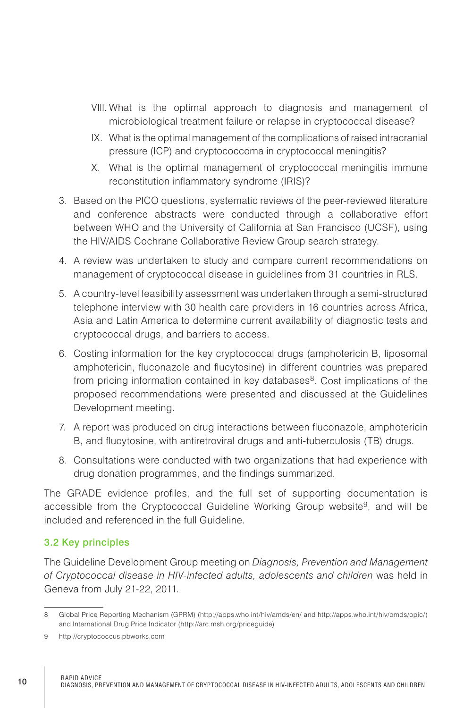- VIII. What is the optimal approach to diagnosis and management of microbiological treatment failure or relapse in cryptococcal disease?
- IX. What is the optimal management of the complications of raised intracranial pressure (ICP) and cryptococcoma in cryptococcal meningitis?
- X. What is the optimal management of cryptococcal meningitis immune reconstitution inflammatory syndrome (IRIS)?
- 3. Based on the PICO questions, systematic reviews of the peer-reviewed literature and conference abstracts were conducted through a collaborative effort between WHO and the University of California at San Francisco (UCSF), using the HIV/AIDS Cochrane Collaborative Review Group search strategy.
- 4. A review was undertaken to study and compare current recommendations on management of cryptococcal disease in guidelines from 31 countries in RLS.
- 5. A country-level feasibility assessment was undertaken through a semi-structured telephone interview with 30 health care providers in 16 countries across Africa, Asia and Latin America to determine current availability of diagnostic tests and cryptococcal drugs, and barriers to access.
- 6. Costing information for the key cryptococcal drugs (amphotericin B, liposomal amphotericin, fluconazole and flucytosine) in different countries was prepared from pricing information contained in key databases<sup>8</sup>. Cost implications of the proposed recommendations were presented and discussed at the Guidelines Development meeting.
- 7. A report was produced on drug interactions between fluconazole, amphotericin B, and flucytosine, with antiretroviral drugs and anti-tuberculosis (TB) drugs.
- 8. Consultations were conducted with two organizations that had experience with drug donation programmes, and the findings summarized.

The GRADE evidence profiles, and the full set of supporting documentation is accessible from the Cryptococcal Guideline Working Group website9, and will be included and referenced in the full Guideline.

## 3.2 Key principles

The Guideline Development Group meeting on *Diagnosis, Prevention and Management of Cryptococcal disease in HIV-infected adults, adolescents and children* was held in Geneva from July 21-22, 2011.

<sup>8</sup> Global Price Reporting Mechanism (GPRM) (http://apps.who.int/hiv/amds/en/ and http://apps.who.int/hiv/omds/opic/) and International Drug Price Indicator (http://arc.msh.org/priceguide)

<sup>9</sup> http://cryptococcus.pbworks.com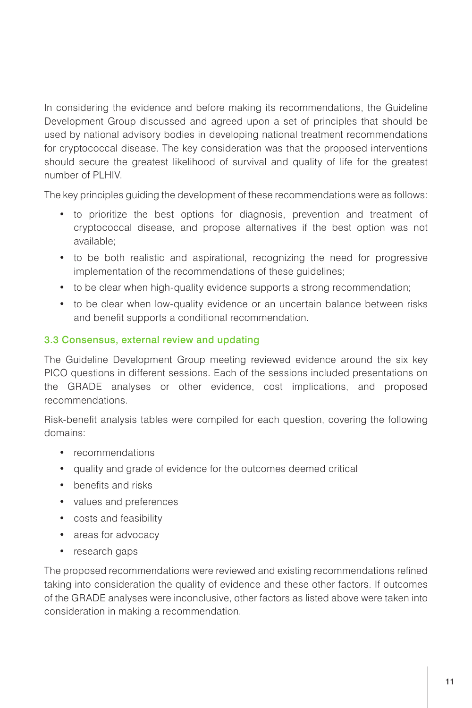In considering the evidence and before making its recommendations, the Guideline Development Group discussed and agreed upon a set of principles that should be used by national advisory bodies in developing national treatment recommendations for cryptococcal disease. The key consideration was that the proposed interventions should secure the greatest likelihood of survival and quality of life for the greatest number of PLHIV.

The key principles guiding the development of these recommendations were as follows:

- to prioritize the best options for diagnosis, prevention and treatment of cryptococcal disease, and propose alternatives if the best option was not available;
- to be both realistic and aspirational, recognizing the need for progressive implementation of the recommendations of these guidelines;
- to be clear when high-quality evidence supports a strong recommendation:
- to be clear when low-quality evidence or an uncertain balance between risks and benefit supports a conditional recommendation.

## 3.3 Consensus, external review and updating

The Guideline Development Group meeting reviewed evidence around the six key PICO questions in different sessions. Each of the sessions included presentations on the GRADE analyses or other evidence, cost implications, and proposed recommendations.

Risk-benefit analysis tables were compiled for each question, covering the following domains:

- recommendations
- • quality and grade of evidence for the outcomes deemed critical
- benefits and risks
- • values and preferences
- • costs and feasibility
- • areas for advocacy
- research gaps

The proposed recommendations were reviewed and existing recommendations refined taking into consideration the quality of evidence and these other factors. If outcomes of the GRADE analyses were inconclusive, other factors as listed above were taken into consideration in making a recommendation.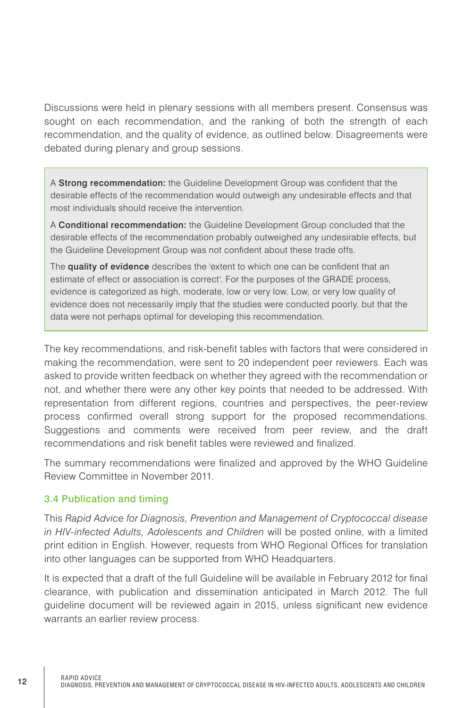Discussions were held in plenary sessions with all members present. Consensus was sought on each recommendation, and the ranking of both the strength of each recommendation, and the quality of evidence, as outlined below. Disagreements were debated during plenary and group sessions.

A Strong recommendation: the Guideline Development Group was confident that the desirable effects of the recommendation would outweigh any undesirable effects and that most individuals should receive the intervention.

A **Conditional recommendation:** the Guideline Development Group concluded that the desirable effects of the recommendation probably outweighed any undesirable effects, but the Guideline Development Group was not confident about these trade offs.

The quality of evidence describes the 'extent to which one can be confident that an estimate of effect or association is correct'. For the purposes of the GRADE process, evidence is categorized as high, moderate, low or very low. Low, or very low quality of evidence does not necessarily imply that the studies were conducted poorly, but that the data were not perhaps optimal for developing this recommendation.

The key recommendations, and risk-benefit tables with factors that were considered in making the recommendation, were sent to 20 independent peer reviewers. Each was asked to provide written feedback on whether they agreed with the recommendation or not, and whether there were any other key points that needed to be addressed. With representation from different regions, countries and perspectives, the peer-review process confirmed overall strong support for the proposed recommendations. Suggestions and comments were received from peer review, and the draft recommendations and risk benefit tables were reviewed and finalized.

The summary recommendations were finalized and approved by the WHO Guideline Review Committee in November 2011.

#### 3.4 Publication and timing

This *Rapid Advice for Diagnosis, Prevention and Management of Cryptococcal disease in HIV-infected Adults, Adolescents and Children* will be posted online, with a limited print edition in English. However, requests from WHO Regional Offices for translation into other languages can be supported from WHO Headquarters.

It is expected that a draft of the full Guideline will be available in February 2012 for final clearance, with publication and dissemination anticipated in March 2012. The full guideline document will be reviewed again in 2015, unless significant new evidence warrants an earlier review process.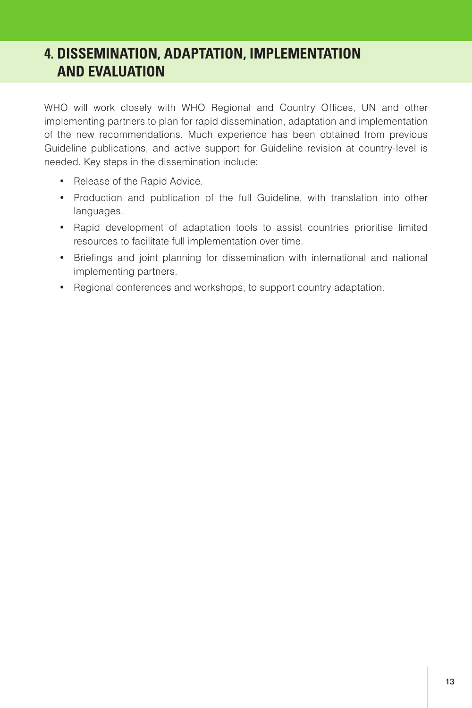## **4. Dissemination, adaptation, implementation and evaluation**

WHO will work closely with WHO Regional and Country Offices, UN and other implementing partners to plan for rapid dissemination, adaptation and implementation of the new recommendations. Much experience has been obtained from previous Guideline publications, and active support for Guideline revision at country-level is needed. Key steps in the dissemination include:

- Release of the Rapid Advice.
- Production and publication of the full Guideline, with translation into other languages.
- • Rapid development of adaptation tools to assist countries prioritise limited resources to facilitate full implementation over time.
- • Briefings and joint planning for dissemination with international and national implementing partners.
- Regional conferences and workshops, to support country adaptation.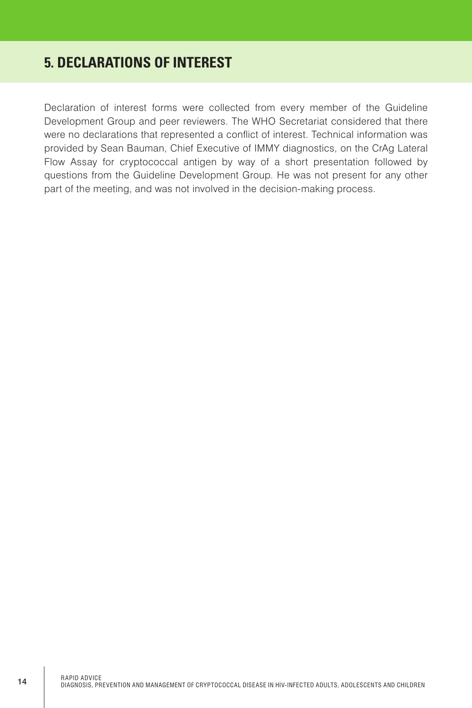## **5. Declarations of interest**

Declaration of interest forms were collected from every member of the Guideline Development Group and peer reviewers. The WHO Secretariat considered that there were no declarations that represented a conflict of interest. Technical information was provided by Sean Bauman, Chief Executive of IMMY diagnostics, on the CrAg Lateral Flow Assay for cryptococcal antigen by way of a short presentation followed by questions from the Guideline Development Group. He was not present for any other part of the meeting, and was not involved in the decision-making process.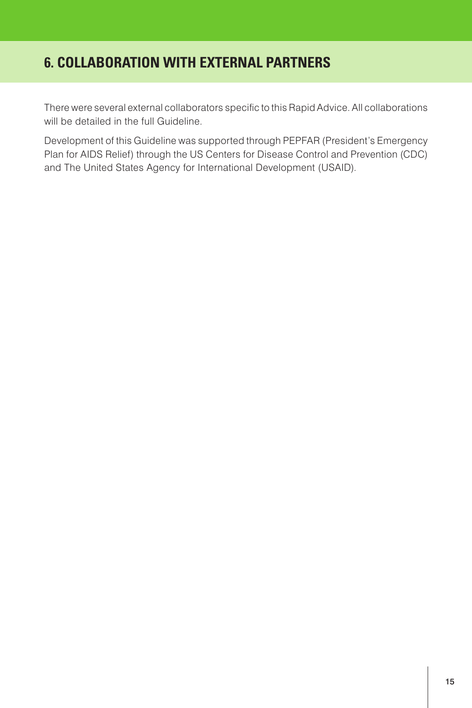## **6. Collaboration with external partners**

There were several external collaborators specific to this Rapid Advice. All collaborations will be detailed in the full Guideline.

Development of this Guideline was supported through PEPFAR (President's Emergency Plan for AIDS Relief) through the US Centers for Disease Control and Prevention (CDC) and The United States Agency for International Development (USAID).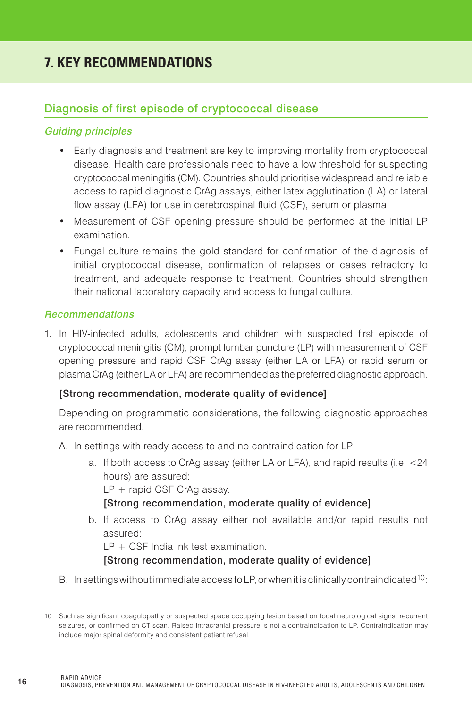## **7. key recommendations**

## Diagnosis of first episode of cryptococcal disease

### Guiding principles

- Early diagnosis and treatment are key to improving mortality from cryptococcal disease. Health care professionals need to have a low threshold for suspecting cryptococcal meningitis (CM). Countries should prioritise widespread and reliable access to rapid diagnostic CrAg assays, either latex agglutination (LA) or lateral flow assay (LFA) for use in cerebrospinal fluid (CSF), serum or plasma.
- Measurement of CSF opening pressure should be performed at the initial LP examination.
- Fungal culture remains the gold standard for confirmation of the diagnosis of initial cryptococcal disease, confirmation of relapses or cases refractory to treatment, and adequate response to treatment. Countries should strengthen their national laboratory capacity and access to fungal culture.

#### Recommendations

1. In HIV-infected adults, adolescents and children with suspected first episode of cryptococcal meningitis (CM), prompt lumbar puncture (LP) with measurement of CSF opening pressure and rapid CSF CrAg assay (either LA or LFA) or rapid serum or plasma CrAg (either LA or LFA) are recommended as the preferred diagnostic approach.

#### [Strong recommendation, moderate quality of evidence]

Depending on programmatic considerations, the following diagnostic approaches are recommended.

- A. In settings with ready access to and no contraindication for LP:
	- a. If both access to CrAg assay (either LA or LFA), and rapid results (i.e. <24 hours) are assured:

LP + rapid CSF CrAg assay.

#### [Strong recommendation, moderate quality of evidence]

b. If access to CrAg assay either not available and/or rapid results not assured:

 $LP + CSF$  India ink test examination.

[Strong recommendation, moderate quality of evidence]

B. In settings without immediate access to LP, or when it is clinically contraindicated10:

<sup>10</sup> Such as significant coagulopathy or suspected space occupying lesion based on focal neurological signs, recurrent seizures, or confirmed on CT scan. Raised intracranial pressure is not a contraindication to LP. Contraindication may include major spinal deformity and consistent patient refusal.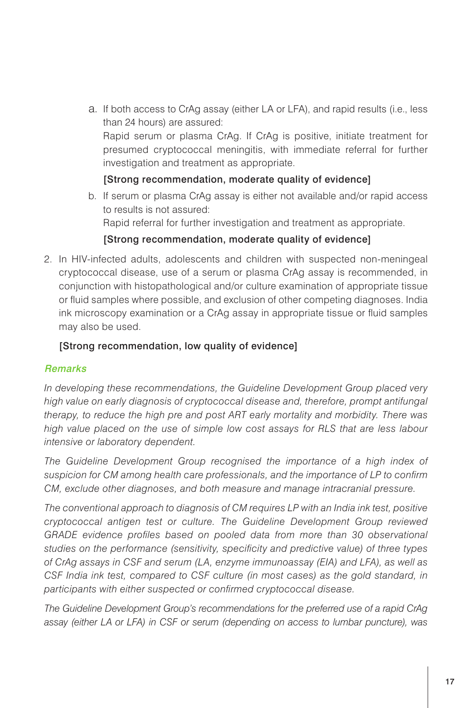a. If both access to CrAg assay (either LA or LFA), and rapid results (i.e., less than 24 hours) are assured: Rapid serum or plasma CrAg. If CrAg is positive, initiate treatment for presumed cryptococcal meningitis, with immediate referral for further investigation and treatment as appropriate.

### [Strong recommendation, moderate quality of evidence]

b. If serum or plasma CrAg assay is either not available and/or rapid access to results is not assured: Rapid referral for further investigation and treatment as appropriate.

## [Strong recommendation, moderate quality of evidence]

2. In HIV-infected adults, adolescents and children with suspected non-meningeal cryptococcal disease, use of a serum or plasma CrAg assay is recommended, in conjunction with histopathological and/or culture examination of appropriate tissue or fluid samples where possible, and exclusion of other competing diagnoses. India ink microscopy examination or a CrAg assay in appropriate tissue or fluid samples may also be used.

## [Strong recommendation, low quality of evidence]

## Remarks

*In developing these recommendations, the Guideline Development Group placed very high value on early diagnosis of cryptococcal disease and, therefore, prompt antifungal therapy, to reduce the high pre and post ART early mortality and morbidity. There was high value placed on the use of simple low cost assays for RLS that are less labour intensive or laboratory dependent.*

The Guideline Development Group recognised the importance of a high index of *suspicion for CM among health care professionals, and the importance of LP to confirm CM, exclude other diagnoses, and both measure and manage intracranial pressure.* 

*The conventional approach to diagnosis of CM requires LP with an India ink test, positive cryptococcal antigen test or culture. The Guideline Development Group reviewed GRADE evidence profiles based on pooled data from more than 30 observational studies on the performance (sensitivity, specificity and predictive value) of three types of CrAg assays in CSF and serum (LA, enzyme immunoassay (EIA) and LFA), as well as CSF India ink test, compared to CSF culture (in most cases) as the gold standard, in participants with either suspected or confirmed cryptococcal disease.* 

*The Guideline Development Group's recommendations for the preferred use of a rapid CrAg assay (either LA or LFA) in CSF or serum (depending on access to lumbar puncture), was*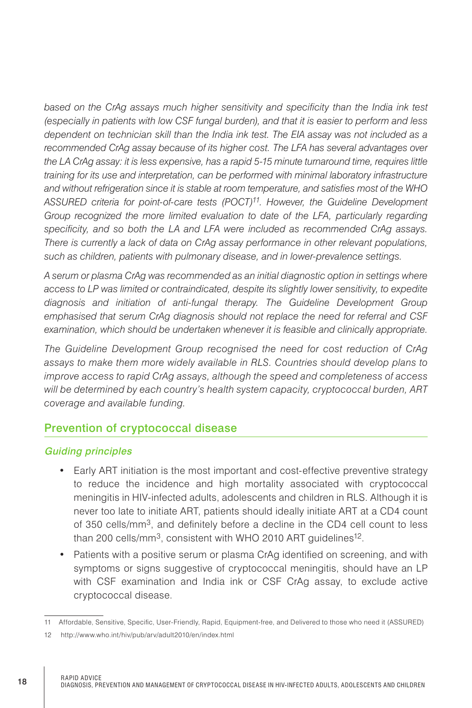*based on the CrAg assays much higher sensitivity and specificity than the India ink test (especially in patients with low CSF fungal burden), and that it is easier to perform and less dependent on technician skill than the India ink test. The EIA assay was not included as a recommended CrAg assay because of its higher cost. The LFA has several advantages over the LA CrAg assay: it is less expensive, has a rapid 5-15 minute turnaround time, requires little training for its use and interpretation, can be performed with minimal laboratory infrastructure and without refrigeration since it is stable at room temperature, and satisfies most of the WHO ASSURED criteria for point-of-care tests (POCT)11. However, the Guideline Development Group recognized the more limited evaluation to date of the LFA, particularly regarding specificity, and so both the LA and LFA were included as recommended CrAg assays. There is currently a lack of data on CrAg assay performance in other relevant populations, such as children, patients with pulmonary disease, and in lower-prevalence settings.*

*A serum or plasma CrAg was recommended as an initial diagnostic option in settings where access to LP was limited or contraindicated, despite its slightly lower sensitivity, to expedite diagnosis and initiation of anti-fungal therapy. The Guideline Development Group emphasised that serum CrAg diagnosis should not replace the need for referral and CSF examination, which should be undertaken whenever it is feasible and clinically appropriate.* 

*The Guideline Development Group recognised the need for cost reduction of CrAg assays to make them more widely available in RLS. Countries should develop plans to improve access to rapid CrAg assays, although the speed and completeness of access will be determined by each country's health system capacity, cryptococcal burden, ART coverage and available funding.* 

## Prevention of cryptococcal disease

## Guiding principles

- Early ART initiation is the most important and cost-effective preventive strategy to reduce the incidence and high mortality associated with cryptococcal meningitis in HIV-infected adults, adolescents and children in RLS. Although it is never too late to initiate ART, patients should ideally initiate ART at a CD4 count of 350 cells/mm3, and definitely before a decline in the CD4 cell count to less than 200 cells/mm<sup>3</sup>, consistent with WHO 2010 ART guidelines<sup>12</sup>.
- Patients with a positive serum or plasma CrAg identified on screening, and with symptoms or signs suggestive of cryptococcal meningitis, should have an LP with CSF examination and India ink or CSF CrAg assay, to exclude active cryptococcal disease.

<sup>11</sup> Affordable, Sensitive, Specific, User-Friendly, Rapid, Equipment-free, and Delivered to those who need it (ASSURED)

<sup>12</sup> http://www.who.int/hiv/pub/arv/adult2010/en/index.html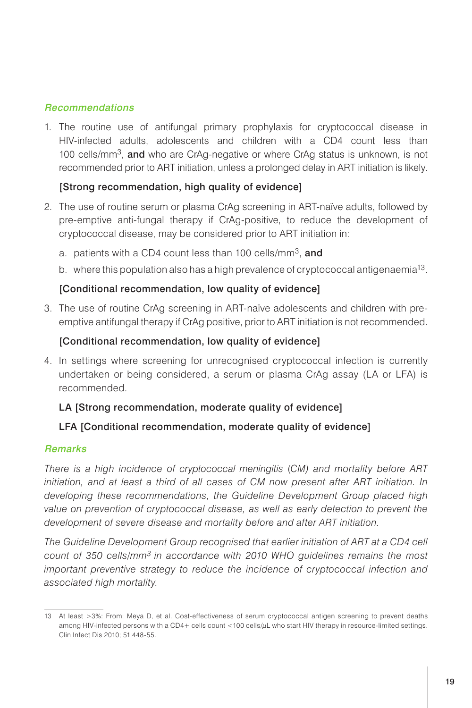### Recommendations

1. The routine use of antifungal primary prophylaxis for cryptococcal disease in HIV-infected adults, adolescents and children with a CD4 count less than 100 cells/mm<sup>3</sup>, and who are CrAq-negative or where CrAq status is unknown, is not recommended prior to ART initiation, unless a prolonged delay in ART initiation is likely.

## [Strong recommendation, high quality of evidence]

- 2. The use of routine serum or plasma CrAg screening in ART-naïve adults, followed by pre-emptive anti-fungal therapy if CrAg-positive, to reduce the development of cryptococcal disease, may be considered prior to ART initiation in:
	- a. patients with a CD4 count less than 100 cells/ $mm<sup>3</sup>$ , and
	- b. where this population also has a high prevalence of cryptococcal antigenaemia<sup>13</sup>.

#### [Conditional recommendation, low quality of evidence]

3. The use of routine CrAg screening in ART-naïve adolescents and children with preemptive antifungal therapy if CrAg positive, prior to ART initiation is not recommended.

#### [Conditional recommendation, low quality of evidence]

4. In settings where screening for unrecognised cryptococcal infection is currently undertaken or being considered, a serum or plasma CrAg assay (LA or LFA) is recommended.

#### LA [Strong recommendation, moderate quality of evidence]

## LFA [Conditional recommendation, moderate quality of evidence]

#### Remarks

*There is a high incidence of cryptococcal meningitis* (*CM) and mortality before ART initiation, and at least a third of all cases of CM now present after ART initiation. In developing these recommendations, the Guideline Development Group placed high*  value on prevention of cryptococcal disease, as well as early detection to prevent the *development of severe disease and mortality before and after ART initiation.* 

*The Guideline Development Group recognised that earlier initiation of ART at a CD4 cell count of 350 cells/mm3 in accordance with 2010 WHO guidelines remains the most important preventive strategy to reduce the incidence of cryptococcal infection and associated high mortality.*

<sup>13</sup> At least >3%: From: Meya D, et al. Cost-effectiveness of serum cryptococcal antigen screening to prevent deaths among HIV-infected persons with a CD4+ cells count <100 cells/ $\mu$ L who start HIV therapy in resource-limited settings. Clin Infect Dis 2010; 51:448-55.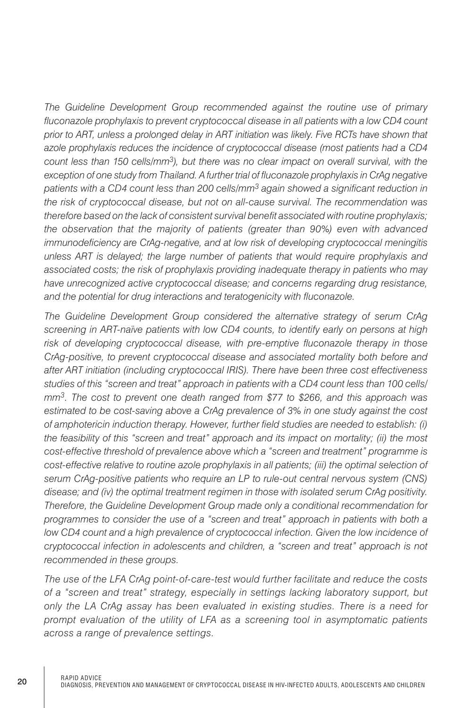*The Guideline Development Group recommended against the routine use of primary fluconazole prophylaxis to prevent cryptococcal disease in all patients with a low CD4 count prior to ART, unless a prolonged delay in ART initiation was likely. Five RCTs have shown that azole prophylaxis reduces the incidence of cryptococcal disease (most patients had a CD4 count less than 150 cells/mm3), but there was no clear impact on overall survival, with the exception of one study from Thailand. A further trial of fluconazole prophylaxis in CrAg negative patients with a CD4 count less than 200 cells/mm3 again showed a significant reduction in the risk of cryptococcal disease, but not on all-cause survival. The recommendation was therefore based on the lack of consistent survival benefit associated with routine prophylaxis; the observation that the majority of patients (greater than 90%) even with advanced immunodeficiency are CrAg-negative, and at low risk of developing cryptococcal meningitis unless ART is delayed; the large number of patients that would require prophylaxis and associated costs; the risk of prophylaxis providing inadequate therapy in patients who may have unrecognized active cryptococcal disease; and concerns regarding drug resistance, and the potential for drug interactions and teratogenicity with fluconazole.*

*The Guideline Development Group considered the alternative strategy of serum CrAg screening in ART-naïve patients with low CD4 counts, to identify early on persons at high risk of developing cryptococcal disease, with pre-emptive fluconazole therapy in those CrAg-positive, to prevent cryptococcal disease and associated mortality both before and after ART initiation (including cryptococcal IRIS). There have been three cost effectiveness studies of this "screen and treat" approach in patients with a CD4 count less than 100 cells/ mm3. The cost to prevent one death ranged from \$77 to \$266, and this approach was estimated to be cost-saving above a CrAg prevalence of 3% in one study against the cost of amphotericin induction therapy. However, further field studies are needed to establish: (i) the feasibility of this "screen and treat" approach and its impact on mortality; (ii) the most cost-effective threshold of prevalence above which a "screen and treatment" programme is*  cost-effective relative to routine azole prophylaxis in all patients; (iii) the optimal selection of *serum CrAg-positive patients who require an LP to rule-out central nervous system (CNS) disease; and (iv) the optimal treatment regimen in those with isolated serum CrAg positivity. Therefore, the Guideline Development Group made only a conditional recommendation for programmes to consider the use of a "screen and treat" approach in patients with both a*  low CD4 count and a high prevalence of cryptococcal infection. Given the low incidence of *cryptococcal infection in adolescents and children, a "screen and treat" approach is not recommended in these groups.* 

*The use of the LFA CrAg point-of-care-test would further facilitate and reduce the costs of a "screen and treat" strategy, especially in settings lacking laboratory support, but only the LA CrAg assay has been evaluated in existing studies. There is a need for prompt evaluation of the utility of LFA as a screening tool in asymptomatic patients across a range of prevalence settings.*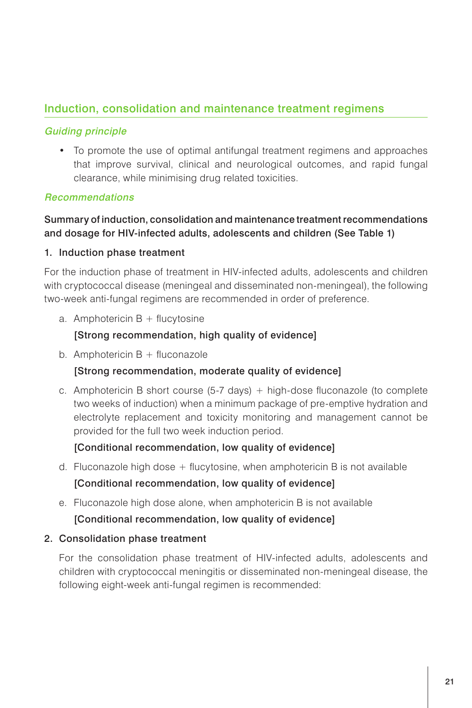## Induction, consolidation and maintenance treatment regimens

## Guiding principle

• To promote the use of optimal antifungal treatment regimens and approaches that improve survival, clinical and neurological outcomes, and rapid fungal clearance, while minimising drug related toxicities.

### Recommendations

## Summary of induction, consolidation and maintenance treatment recommendations and dosage for HIV-infected adults, adolescents and children (See Table 1)

### 1. Induction phase treatment

For the induction phase of treatment in HIV-infected adults, adolescents and children with cryptococcal disease (meningeal and disseminated non-meningeal), the following two-week anti-fungal regimens are recommended in order of preference.

a. Amphotericin  $B +$  flucytosine

## [Strong recommendation, high quality of evidence]

b. Amphotericin  $B +$  fluconazole

## [Strong recommendation, moderate quality of evidence]

c. Amphotericin B short course (5-7 days) + high-dose fluconazole (to complete two weeks of induction) when a minimum package of pre-emptive hydration and electrolyte replacement and toxicity monitoring and management cannot be provided for the full two week induction period.

## [Conditional recommendation, low quality of evidence]

- d. Fluconazole high dose  $+$  flucytosine, when amphotericin B is not available [Conditional recommendation, low quality of evidence]
- e. Fluconazole high dose alone, when amphotericin B is not available

[Conditional recommendation, low quality of evidence]

## 2. Consolidation phase treatment

For the consolidation phase treatment of HIV-infected adults, adolescents and children with cryptococcal meningitis or disseminated non-meningeal disease, the following eight-week anti-fungal regimen is recommended: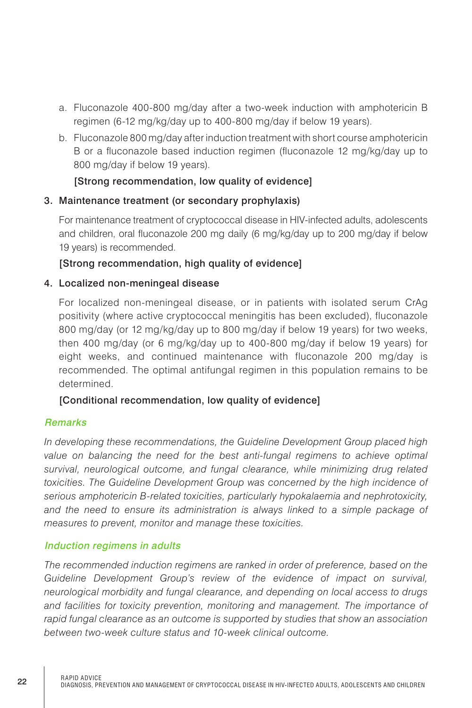- a. Fluconazole 400-800 mg/day after a two-week induction with amphotericin B regimen (6-12 mg/kg/day up to 400-800 mg/day if below 19 years).
- b. Fluconazole 800 mg/day after induction treatment with short course amphotericin B or a fluconazole based induction regimen (fluconazole 12 mg/kg/day up to 800 mg/day if below 19 years).

## [Strong recommendation, low quality of evidence]

## 3. Maintenance treatment (or secondary prophylaxis)

For maintenance treatment of cryptococcal disease in HIV-infected adults, adolescents and children, oral fluconazole 200 mg daily (6 mg/kg/day up to 200 mg/day if below 19 years) is recommended.

## [Strong recommendation, high quality of evidence]

## 4. Localized non-meningeal disease

For localized non-meningeal disease, or in patients with isolated serum CrAg positivity (where active cryptococcal meningitis has been excluded), fluconazole 800 mg/day (or 12 mg/kg/day up to 800 mg/day if below 19 years) for two weeks, then 400 mg/day (or 6 mg/kg/day up to 400-800 mg/day if below 19 years) for eight weeks, and continued maintenance with fluconazole 200 mg/day is recommended. The optimal antifungal regimen in this population remains to be determined.

## [Conditional recommendation, low quality of evidence]

## Remarks

*In developing these recommendations, the Guideline Development Group placed high value on balancing the need for the best anti-fungal regimens to achieve optimal survival, neurological outcome, and fungal clearance, while minimizing drug related*  toxicities. The Guideline Development Group was concerned by the high incidence of *serious amphotericin B-related toxicities, particularly hypokalaemia and nephrotoxicity,*  and the need to ensure its administration is always linked to a simple package of *measures to prevent, monitor and manage these toxicities.* 

## Induction regimens in adults

*The recommended induction regimens are ranked in order of preference, based on the Guideline Development Group's review of the evidence of impact on survival, neurological morbidity and fungal clearance, and depending on local access to drugs and facilities for toxicity prevention, monitoring and management. The importance of rapid fungal clearance as an outcome is supported by studies that show an association between two-week culture status and 10-week clinical outcome.*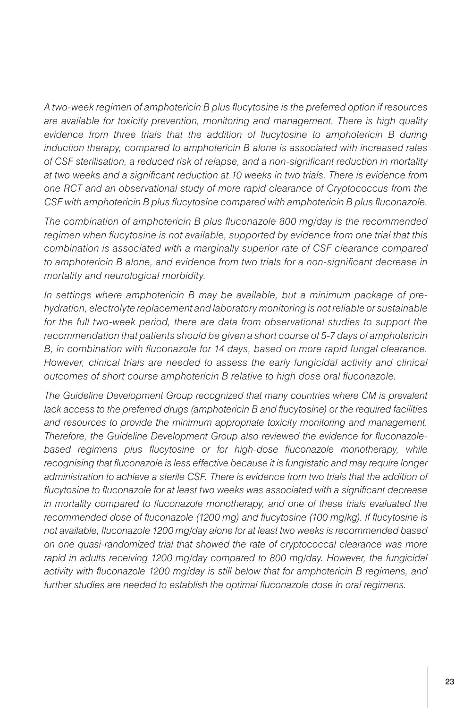*A two-week regimen of amphotericin B plus flucytosine is the preferred option if resources are available for toxicity prevention, monitoring and management. There is high quality evidence from three trials that the addition of flucytosine to amphotericin B during induction therapy, compared to amphotericin B alone is associated with increased rates of CSF sterilisation, a reduced risk of relapse, and a non-significant reduction in mortality at two weeks and a significant reduction at 10 weeks in two trials. There is evidence from one RCT and an observational study of more rapid clearance of Cryptococcus from the CSF with amphotericin B plus flucytosine compared with amphotericin B plus fluconazole.*

*The combination of amphotericin B plus fluconazole 800 mg/day is the recommended regimen when flucytosine is not available, supported by evidence from one trial that this combination is associated with a marginally superior rate of CSF clearance compared to amphotericin B alone, and evidence from two trials for a non-significant decrease in mortality and neurological morbidity.*

*In settings where amphotericin B may be available, but a minimum package of prehydration, electrolyte replacement and laboratory monitoring is not reliable or sustainable*  for the full two-week period, there are data from observational studies to support the *recommendation that patients should be given a short course of 5-7 days of amphotericin B, in combination with fluconazole for 14 days, based on more rapid fungal clearance. However, clinical trials are needed to assess the early fungicidal activity and clinical outcomes of short course amphotericin B relative to high dose oral fluconazole.* 

*The Guideline Development Group recognized that many countries where CM is prevalent lack access to the preferred drugs (amphotericin B and flucytosine) or the required facilities and resources to provide the minimum appropriate toxicity monitoring and management. Therefore, the Guideline Development Group also reviewed the evidence for fluconazole*based regimens plus flucytosine or for high-dose fluconazole monotherapy, while *recognising that fluconazole is less effective because it is fungistatic and may require longer administration to achieve a sterile CSF. There is evidence from two trials that the addition of flucytosine to fluconazole for at least two weeks was associated with a significant decrease in mortality compared to fluconazole monotherapy, and one of these trials evaluated the recommended dose of fluconazole (1200 mg) and flucytosine (100 mg/kg). If flucytosine is not available, fluconazole 1200 mg/day alone for at least two weeks is recommended based on one quasi-randomized trial that showed the rate of cryptococcal clearance was more*  rapid in adults receiving 1200 mg/day compared to 800 mg/day. However, the fungicidal *activity with fluconazole 1200 mg/day is still below that for amphotericin B regimens, and further studies are needed to establish the optimal fluconazole dose in oral regimens.*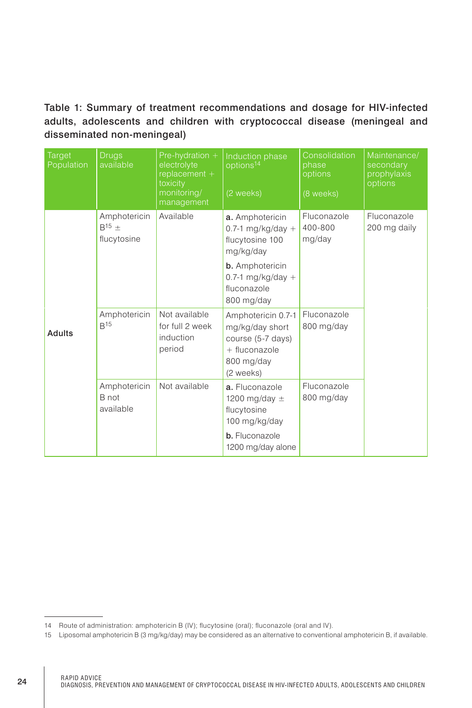Table 1: Summary of treatment recommendations and dosage for HIV-infected adults, adolescents and children with cryptococcal disease (meningeal and disseminated non-meningeal)

| Target<br>Population | <b>Drugs</b><br>available                 | Pre-hydration +<br>electrolyte<br>$replacement +$<br>toxicity<br>monitoring/<br>management | Induction phase<br>options <sup>14</sup><br>(2 weeks)                                                                                       | Consolidation<br>phase<br>options<br>(8 weeks) | Maintenance/<br>secondary<br>prophylaxis<br>options |
|----------------------|-------------------------------------------|--------------------------------------------------------------------------------------------|---------------------------------------------------------------------------------------------------------------------------------------------|------------------------------------------------|-----------------------------------------------------|
| <b>Adults</b>        | Amphotericin<br>$B^{15}$ +<br>flucytosine | Available                                                                                  | a. Amphotericin<br>0.7-1 mg/kg/day +<br>flucytosine 100<br>mg/kg/day<br>b. Amphotericin<br>0.7-1 mg/kg/day $+$<br>fluconazole<br>800 mg/day | Fluconazole<br>400-800<br>mg/day               | Fluconazole<br>200 mg daily                         |
|                      | Amphotericin<br>$R^{15}$                  | Not available<br>for full 2 week<br>induction<br>period                                    | Amphotericin 0.7-1<br>mg/kg/day short<br>course (5-7 days)<br>+ fluconazole<br>800 mg/day<br>(2 weeks)                                      | Fluconazole<br>800 mg/day                      |                                                     |
|                      | Amphotericin<br>B not<br>available        | Not available                                                                              | a. Fluconazole<br>1200 mg/day $\pm$<br>flucytosine<br>100 mg/kg/day<br><b>b.</b> Fluconazole<br>1200 mg/day alone                           | Fluconazole<br>800 mg/day                      |                                                     |

<sup>14</sup> Route of administration: amphotericin B (IV); flucytosine (oral); fluconazole (oral and IV).

<sup>15</sup> Liposomal amphotericin B (3 mg/kg/day) may be considered as an alternative to conventional amphotericin B, if available.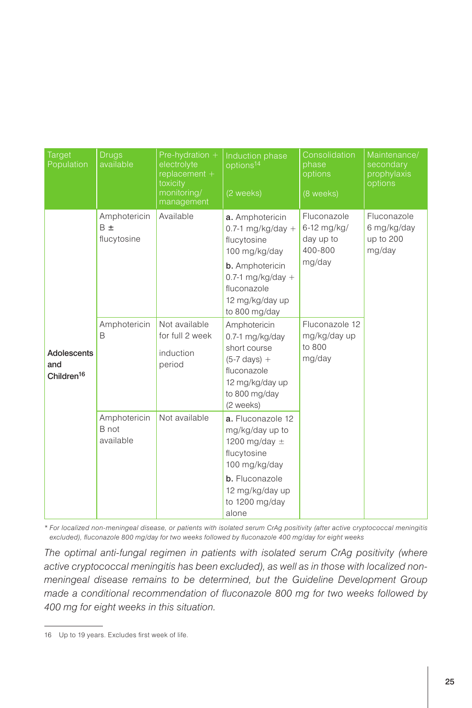| Target<br>Population                                | <b>Drugs</b><br>available          | Pre-hydration +<br>electrolyte<br>replacement $+$<br>toxicity<br>monitoring/<br>management | Induction phase<br>options <sup>14</sup><br>(2 weeks)                                                                                                               | Consolidation<br>phase<br>options<br>(8 weeks)               | Maintenance/<br>secondary<br>prophylaxis<br>options |
|-----------------------------------------------------|------------------------------------|--------------------------------------------------------------------------------------------|---------------------------------------------------------------------------------------------------------------------------------------------------------------------|--------------------------------------------------------------|-----------------------------------------------------|
| <b>Adolescents</b><br>and<br>Children <sup>16</sup> | Amphotericin<br>B ±<br>flucytosine | Available                                                                                  | a. Amphotericin<br>0.7-1 mg/kg/day $+$<br>flucytosine<br>100 mg/kg/day<br>b. Amphotericin<br>0.7-1 mg/kg/day $+$<br>fluconazole<br>12 mg/kg/day up<br>to 800 mg/day | Fluconazole<br>6-12 mg/kg/<br>day up to<br>400-800<br>mg/day | Fluconazole<br>6 mg/kg/day<br>up to 200<br>mg/day   |
|                                                     | Amphotericin<br>B                  | Not available<br>for full 2 week<br>induction<br>period                                    | Amphotericin<br>0.7-1 mg/kg/day<br>short course<br>$(5-7 \text{ days}) +$<br>fluconazole<br>12 mg/kg/day up<br>to 800 mg/day<br>(2 weeks)                           | Fluconazole 12<br>mg/kg/day up<br>to 800<br>mg/day           |                                                     |
|                                                     | Amphotericin<br>B not<br>available | Not available                                                                              | a. Fluconazole 12<br>mg/kg/day up to<br>1200 mg/day $\pm$<br>flucytosine<br>100 mg/kg/day<br>b. Fluconazole<br>12 mg/kg/day up<br>to 1200 mg/day<br>alone           |                                                              |                                                     |

*\* For localized non-meningeal disease, or patients with isolated serum CrAg positivity (after active cryptococcal meningitis excluded), fluconazole 800 mg/day for two weeks followed by fluconazole 400 mg/day for eight weeks*

*The optimal anti-fungal regimen in patients with isolated serum CrAg positivity (where active cryptococcal meningitis has been excluded), as well as in those with localized nonmeningeal disease remains to be determined, but the Guideline Development Group made a conditional recommendation of fluconazole 800 mg for two weeks followed by 400 mg for eight weeks in this situation.* 

<sup>16</sup> Up to 19 years. Excludes first week of life.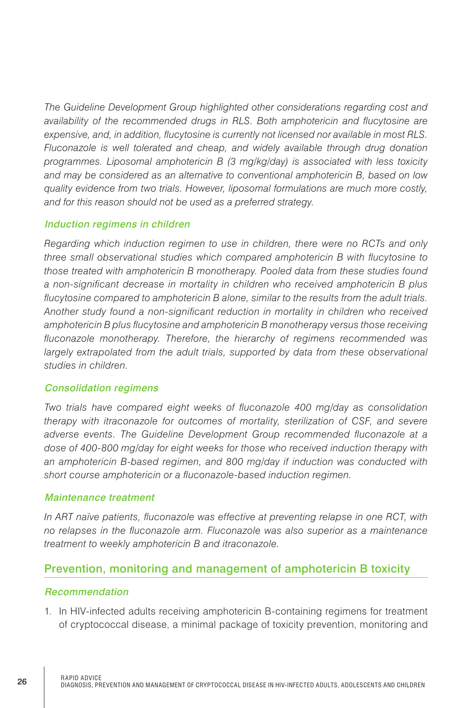*The Guideline Development Group highlighted other considerations regarding cost and availability of the recommended drugs in RLS. Both amphotericin and flucytosine are expensive, and, in addition, flucytosine is currently not licensed nor available in most RLS. Fluconazole is well tolerated and cheap, and widely available through drug donation programmes. Liposomal amphotericin B (3 mg/kg/day) is associated with less toxicity and may be considered as an alternative to conventional amphotericin B, based on low quality evidence from two trials. However, liposomal formulations are much more costly, and for this reason should not be used as a preferred strategy.*

#### Induction regimens in children

*Regarding which induction regimen to use in children, there were no RCTs and only three small observational studies which compared amphotericin B with flucytosine to those treated with amphotericin B monotherapy. Pooled data from these studies found a non-significant decrease in mortality in children who received amphotericin B plus flucytosine compared to amphotericin B alone, similar to the results from the adult trials. Another study found a non-significant reduction in mortality in children who received amphotericin B plus flucytosine and amphotericin B monotherapy versus those receiving fluconazole monotherapy. Therefore, the hierarchy of regimens recommended was largely extrapolated from the adult trials, supported by data from these observational studies in children.* 

#### Consolidation regimens

*Two trials have compared eight weeks of fluconazole 400 mg/day as consolidation therapy with itraconazole for outcomes of mortality, sterilization of CSF, and severe adverse events. The Guideline Development Group recommended fluconazole at a dose of 400-800 mg/day for eight weeks for those who received induction therapy with an amphotericin B-based regimen, and 800 mg/day if induction was conducted with short course amphotericin or a fluconazole-based induction regimen.* 

#### Maintenance treatment

*In ART naïve patients, fluconazole was effective at preventing relapse in one RCT, with no relapses in the fluconazole arm. Fluconazole was also superior as a maintenance treatment to weekly amphotericin B and itraconazole.* 

## Prevention, monitoring and management of amphotericin B toxicity

#### Recommendation

1. In HIV-infected adults receiving amphotericin B-containing regimens for treatment of cryptococcal disease, a minimal package of toxicity prevention, monitoring and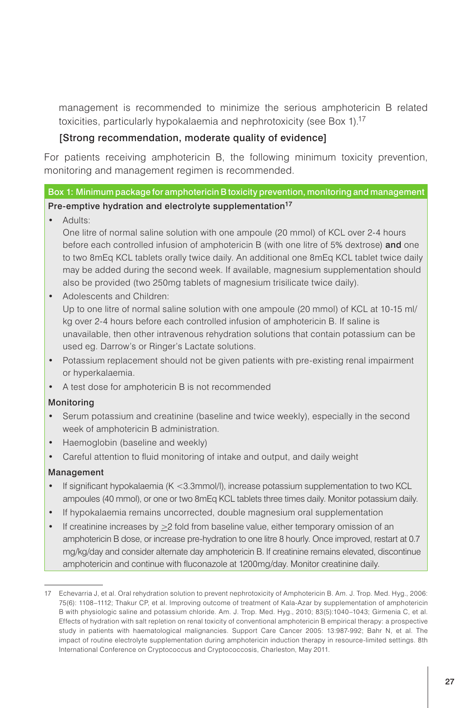management is recommended to minimize the serious amphotericin B related toxicities, particularly hypokalaemia and nephrotoxicity (see Box 1).17

### [Strong recommendation, moderate quality of evidence]

For patients receiving amphotericin B, the following minimum toxicity prevention, monitoring and management regimen is recommended.

#### Box 1: Minimum package for amphotericin B toxicity prevention, monitoring and management

#### Pre-emptive hydration and electrolyte supplementation<sup>17</sup>

• Adults:

One litre of normal saline solution with one ampoule (20 mmol) of KCL over 2-4 hours before each controlled infusion of amphotericin B (with one litre of 5% dextrose) and one to two 8mEq KCL tablets orally twice daily. An additional one 8mEq KCL tablet twice daily may be added during the second week. If available, magnesium supplementation should also be provided (two 250mg tablets of magnesium trisilicate twice daily).

- Adolescents and Children: Up to one litre of normal saline solution with one ampoule (20 mmol) of KCL at 10-15 ml/ kg over 2-4 hours before each controlled infusion of amphotericin B. If saline is unavailable, then other intravenous rehydration solutions that contain potassium can be used eg. Darrow's or Ringer's Lactate solutions.
- Potassium replacement should not be given patients with pre-existing renal impairment or hyperkalaemia.
- • A test dose for amphotericin B is not recommended

#### Monitoring

- Serum potassium and creatinine (baseline and twice weekly), especially in the second week of amphotericin B administration.
- Haemoglobin (baseline and weekly)
- • Careful attention to fluid monitoring of intake and output, and daily weight

#### Management

- If significant hypokalaemia  $(K < 3.3$ mmol/l), increase potassium supplementation to two KCL ampoules (40 mmol), or one or two 8mEq KCL tablets three times daily. Monitor potassium daily.
- If hypokalaemia remains uncorrected, double magnesium oral supplementation
- If creatinine increases by >2 fold from baseline value, either temporary omission of an amphotericin B dose, or increase pre-hydration to one litre 8 hourly. Once improved, restart at 0.7 mg/kg/day and consider alternate day amphotericin B. If creatinine remains elevated, discontinue amphotericin and continue with fluconazole at 1200mg/day. Monitor creatinine daily.

<sup>17</sup> Echevarria J, et al. Oral rehydration solution to prevent nephrotoxicity of Amphotericin B. Am. J. Trop. Med. Hyg., 2006: 75(6): 1108–1112; Thakur CP, et al. Improving outcome of treatment of Kala-Azar by supplementation of amphotericin B with physiologic saline and potassium chloride. Am. J. Trop. Med. Hyg., 2010; 83(5):1040–1043; Girmenia C, et al. Effects of hydration with salt repletion on renal toxicity of conventional amphotericin B empirical therapy: a prospective study in patients with haematological malignancies. Support Care Cancer 2005: 13:987-992; Bahr N, et al. The impact of routine electrolyte supplementation during amphotericin induction therapy in resource-limited settings. 8th International Conference on Cryptococcus and Cryptococcosis, Charleston, May 2011.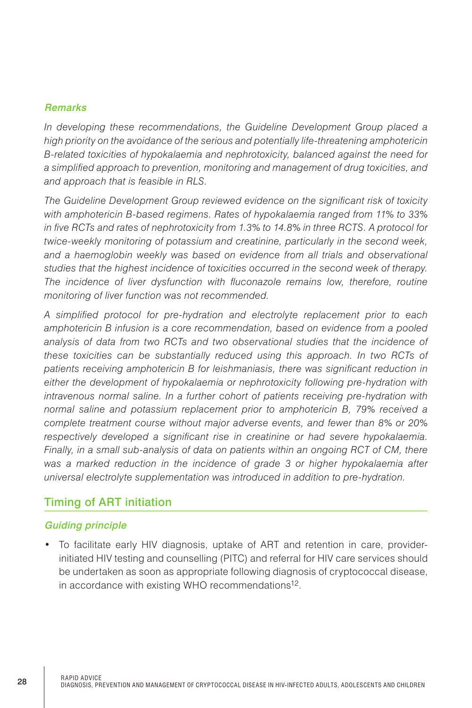#### **Remarks**

*In developing these recommendations, the Guideline Development Group placed a high priority on the avoidance of the serious and potentially life-threatening amphotericin B-related toxicities of hypokalaemia and nephrotoxicity, balanced against the need for a simplified approach to prevention, monitoring and management of drug toxicities, and and approach that is feasible in RLS.* 

*The Guideline Development Group reviewed evidence on the significant risk of toxicity with amphotericin B-based regimens. Rates of hypokalaemia ranged from 11% to 33% in five RCTs and rates of nephrotoxicity from 1.3% to 14.8% in three RCTS. A protocol for twice-weekly monitoring of potassium and creatinine, particularly in the second week,* and a haemoglobin weekly was based on evidence from all trials and observational *studies that the highest incidence of toxicities occurred in the second week of therapy. The incidence of liver dysfunction with fluconazole remains low, therefore, routine monitoring of liver function was not recommended.* 

*A simplified protocol for pre-hydration and electrolyte replacement prior to each amphotericin B infusion is a core recommendation, based on evidence from a pooled analysis of data from two RCTs and two observational studies that the incidence of these toxicities can be substantially reduced using this approach. In two RCTs of patients receiving amphotericin B for leishmaniasis, there was significant reduction in either the development of hypokalaemia or nephrotoxicity following pre-hydration with intravenous normal saline. In a further cohort of patients receiving pre-hydration with normal saline and potassium replacement prior to amphotericin B, 79% received a complete treatment course without major adverse events, and fewer than 8% or 20% respectively developed a significant rise in creatinine or had severe hypokalaemia. Finally, in a small sub-analysis of data on patients within an ongoing RCT of CM, there*  was a marked reduction in the incidence of grade 3 or higher hypokalaemia after *universal electrolyte supplementation was introduced in addition to pre-hydration.*

## Timing of ART initiation

#### Guiding principle

• To facilitate early HIV diagnosis, uptake of ART and retention in care, providerinitiated HIV testing and counselling (PITC) and referral for HIV care services should be undertaken as soon as appropriate following diagnosis of cryptococcal disease, in accordance with existing WHO recommendations<sup>12</sup>.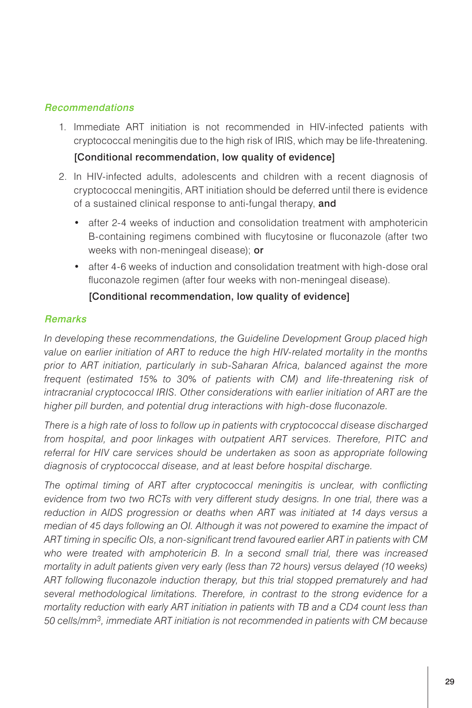### Recommendations

1. Immediate ART initiation is not recommended in HIV-infected patients with cryptococcal meningitis due to the high risk of IRIS, which may be life-threatening.

## [Conditional recommendation, low quality of evidence]

- 2. In HIV-infected adults, adolescents and children with a recent diagnosis of cryptococcal meningitis, ART initiation should be deferred until there is evidence of a sustained clinical response to anti-fungal therapy, and
	- after 2-4 weeks of induction and consolidation treatment with amphotericin B-containing regimens combined with flucytosine or fluconazole (after two weeks with non-meningeal disease); or
	- after 4-6 weeks of induction and consolidation treatment with high-dose oral fluconazole regimen (after four weeks with non-meningeal disease).

## [Conditional recommendation, low quality of evidence]

## Remarks

*In developing these recommendations, the Guideline Development Group placed high value on earlier initiation of ART to reduce the high HIV-related mortality in the months prior to ART initiation, particularly in sub-Saharan Africa, balanced against the more frequent (estimated 15% to 30% of patients with CM) and life-threatening risk of intracranial cryptococcal IRIS. Other considerations with earlier initiation of ART are the higher pill burden, and potential drug interactions with high-dose fluconazole.* 

*There is a high rate of loss to follow up in patients with cryptococcal disease discharged from hospital, and poor linkages with outpatient ART services. Therefore, PITC and referral for HIV care services should be undertaken as soon as appropriate following diagnosis of cryptococcal disease, and at least before hospital discharge.*

*The optimal timing of ART after cryptococcal meningitis is unclear, with conflicting evidence from two two RCTs with very different study designs. In one trial, there was a reduction in AIDS progression or deaths when ART was initiated at 14 days versus a median of 45 days following an OI. Although it was not powered to examine the impact of ART timing in specific OIs, a non-significant trend favoured earlier ART in patients with CM who were treated with amphotericin B. In a second small trial, there was increased mortality in adult patients given very early (less than 72 hours) versus delayed (10 weeks) ART following fluconazole induction therapy, but this trial stopped prematurely and had several methodological limitations. Therefore, in contrast to the strong evidence for a mortality reduction with early ART initiation in patients with TB and a CD4 count less than 50 cells/mm3, immediate ART initiation is not recommended in patients with CM because*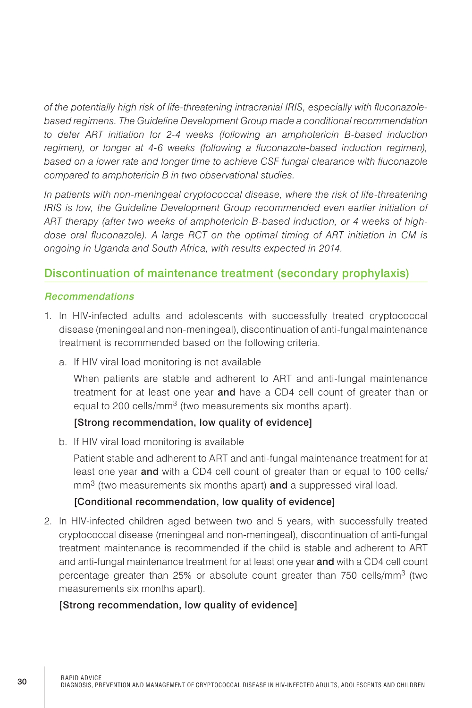*of the potentially high risk of life-threatening intracranial IRIS, especially with fluconazolebased regimens. The Guideline Development Group made a conditional recommendation to defer ART initiation for 2-4 weeks (following an amphotericin B-based induction*  regimen), or longer at 4-6 weeks (following a fluconazole-based induction regimen), *based on a lower rate and longer time to achieve CSF fungal clearance with fluconazole compared to amphotericin B in two observational studies.* 

*In patients with non-meningeal cryptococcal disease, where the risk of life-threatening IRIS is low, the Guideline Development Group recommended even earlier initiation of ART therapy (after two weeks of amphotericin B-based induction, or 4 weeks of highdose oral fluconazole). A large RCT on the optimal timing of ART initiation in CM is ongoing in Uganda and South Africa, with results expected in 2014.* 

## Discontinuation of maintenance treatment (secondary prophylaxis)

#### Recommendations

- 1. In HIV-infected adults and adolescents with successfully treated cryptococcal disease (meningeal and non-meningeal), discontinuation of anti-fungal maintenance treatment is recommended based on the following criteria.
	- a. If HIV viral load monitoring is not available

When patients are stable and adherent to ART and anti-fungal maintenance treatment for at least one year and have a CD4 cell count of greater than or equal to 200 cells/mm<sup>3</sup> (two measurements six months apart).

## [Strong recommendation, low quality of evidence]

b. If HIV viral load monitoring is available

Patient stable and adherent to ART and anti-fungal maintenance treatment for at least one year and with a CD4 cell count of greater than or equal to 100 cells/  $mm<sup>3</sup>$  (two measurements six months apart) and a suppressed viral load.

## [Conditional recommendation, low quality of evidence]

2. In HIV-infected children aged between two and 5 years, with successfully treated cryptococcal disease (meningeal and non-meningeal), discontinuation of anti-fungal treatment maintenance is recommended if the child is stable and adherent to ART and anti-fungal maintenance treatment for at least one year and with a CD4 cell count percentage greater than 25% or absolute count greater than 750 cells/mm3 (two measurements six months apart).

## [Strong recommendation, low quality of evidence]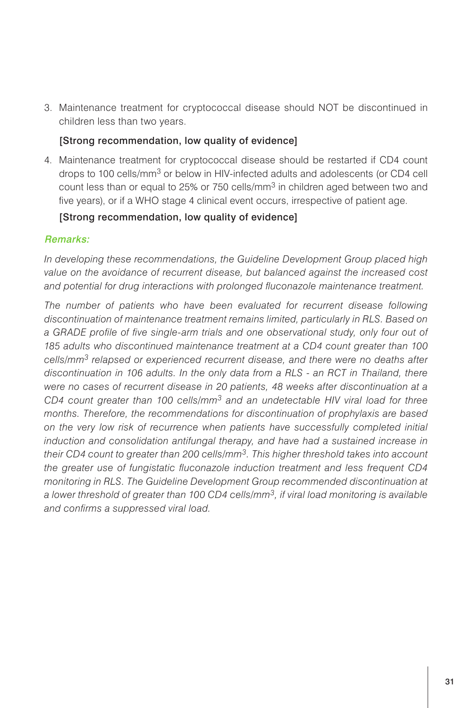3. Maintenance treatment for cryptococcal disease should NOT be discontinued in children less than two years.

## [Strong recommendation, low quality of evidence]

4. Maintenance treatment for cryptococcal disease should be restarted if CD4 count drops to 100 cells/mm3 or below in HIV-infected adults and adolescents (or CD4 cell count less than or equal to 25% or 750 cells/ $\text{mm}^3$  in children aged between two and five years), or if a WHO stage 4 clinical event occurs, irrespective of patient age.

## [Strong recommendation, low quality of evidence]

## Remarks:

*In developing these recommendations, the Guideline Development Group placed high value on the avoidance of recurrent disease, but balanced against the increased cost and potential for drug interactions with prolonged fluconazole maintenance treatment.*

*The number of patients who have been evaluated for recurrent disease following discontinuation of maintenance treatment remains limited, particularly in RLS. Based on*  a GRADE profile of five single-arm trials and one observational study, only four out of *185 adults who discontinued maintenance treatment at a CD4 count greater than 100 cells/mm3 relapsed or experienced recurrent disease, and there were no deaths after discontinuation in 106 adults. In the only data from a RLS - an RCT in Thailand, there were no cases of recurrent disease in 20 patients, 48 weeks after discontinuation at a CD4 count greater than 100 cells/mm3 and an undetectable HIV viral load for three months. Therefore, the recommendations for discontinuation of prophylaxis are based on the very low risk of recurrence when patients have successfully completed initial induction and consolidation antifungal therapy, and have had a sustained increase in their CD4 count to greater than 200 cells/mm3. This higher threshold takes into account the greater use of fungistatic fluconazole induction treatment and less frequent CD4 monitoring in RLS. The Guideline Development Group recommended discontinuation at a lower threshold of greater than 100 CD4 cells/mm3, if viral load monitoring is available and confirms a suppressed viral load.*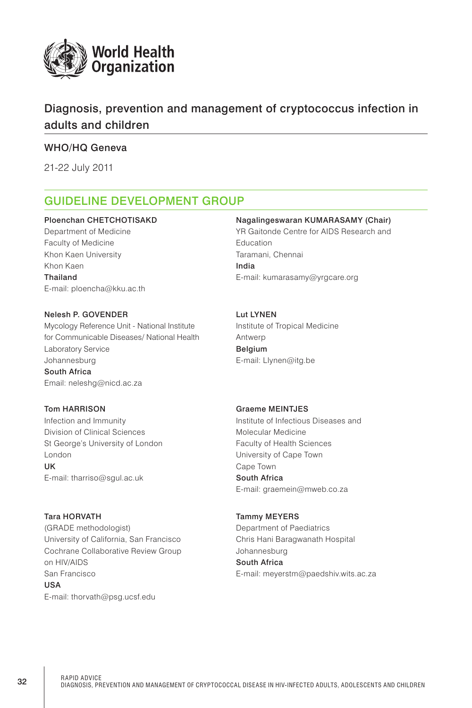

## Diagnosis, prevention and management of cryptococcus infection in adults and children

#### WHO/HQ Geneva

21-22 July 2011

## GUIDELINE DEVELOPMENT GROUP

#### Ploenchan CHETCHOTISAKD

Department of Medicine Faculty of Medicine Khon Kaen University Khon Kaen Thailand E-mail: ploencha@kku.ac.th

#### Nelesh P. GOVENDER

Mycology Reference Unit - National Institute for Communicable Diseases/ National Health Laboratory Service Johannesburg South Africa Email: neleshg@nicd.ac.za

#### Tom HARRISON

Infection and Immunity Division of Clinical Sciences St George's University of London London UK E-mail: tharriso@sgul.ac.uk

#### Tara HORVATH

(GRADE methodologist) University of California, San Francisco Cochrane Collaborative Review Group on HIV/AIDS San Francisco USA E-mail: thorvath@psg.ucsf.edu

#### Nagalingeswaran KUMARASAMY (Chair)

YR Gaitonde Centre for AIDS Research and Education Taramani, Chennai India E-mail: kumarasamy@yrgcare.org

#### Lut LYNEN

Institute of Tropical Medicine Antwerp Belgium E-mail: Llynen@itg.be

#### Graeme MEINTJES

Institute of Infectious Diseases and Molecular Medicine Faculty of Health Sciences University of Cape Town Cape Town South Africa E-mail: graemein@mweb.co.za

#### Tammy MEYERS

Department of Paediatrics Chris Hani Baragwanath Hospital Johannesburg South Africa E-mail: meyerstm@paedshiv.wits.ac.za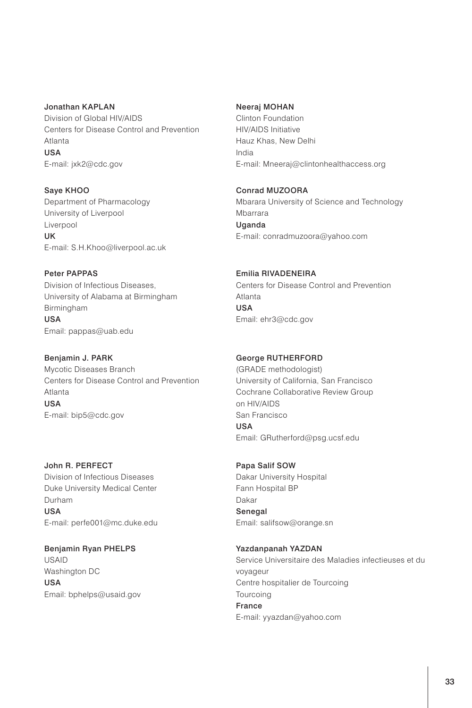#### Jonathan KAPLAN

Division of Global HIV/AIDS Centers for Disease Control and Prevention Atlanta USA E-mail: jxk2@cdc.gov

#### Saye KHOO

Department of Pharmacology University of Liverpool Liverpool UK E-mail: S.H.Khoo@liverpool.ac.uk

#### Peter PAPPAS

Division of Infectious Diseases, University of Alabama at Birmingham Birmingham USA Email: pappas@uab.edu

#### Benjamin J. PARK

Mycotic Diseases Branch Centers for Disease Control and Prevention Atlanta USA E-mail: bip5@cdc.gov

John R. PERFECT Division of Infectious Diseases Duke University Medical Center Durham USA E-mail: perfe001@mc.duke.edu

Benjamin Ryan PHELPS USAID Washington DC USA Email: bphelps@usaid.gov

#### Neeraj MOHAN

Clinton Foundation HIV/AIDS Initiative Hauz Khas, New Delhi India E-mail: Mneeraj@clintonhealthaccess.org

#### Conrad MUZOORA

Mbarara University of Science and Technology Mbarrara Uganda E-mail: conradmuzoora@yahoo.com

#### Emilia RIVADENEIRA

Centers for Disease Control and Prevention Atlanta USA Email: ehr3@cdc.gov

#### George RUTHERFORD

(GRADE methodologist) University of California, San Francisco Cochrane Collaborative Review Group on HIV/AIDS San Francisco USA Email: GRutherford@psg.ucsf.edu

#### Papa Salif SOW

Dakar University Hospital Fann Hospital BP Dakar Senegal Email: salifsow@orange.sn

Yazdanpanah YAZDAN Service Universitaire des Maladies infectieuses et du voyageur Centre hospitalier de Tourcoing Tourcoing France E-mail: yyazdan@yahoo.com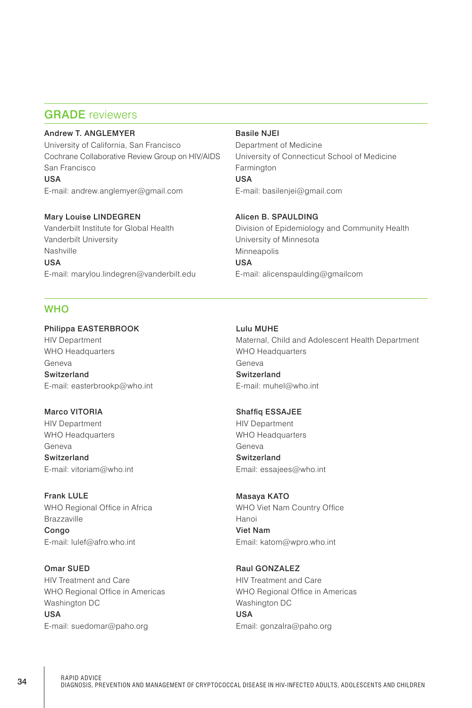## GRADE reviewers

Andrew T. ANGLEMYER University of California, San Francisco Cochrane Collaborative Review Group on HIV/AIDS San Francisco USA E-mail: andrew.anglemyer@gmail.com

Mary Louise LINDEGREN Vanderbilt Institute for Global Health Vanderbilt University Nashville USA E-mail: marylou.lindegren@vanderbilt.edu

#### Basile NJEI

Department of Medicine University of Connecticut School of Medicine Farmington USA E-mail: basilenjei@gmail.com

Alicen B. SPAULDING Division of Epidemiology and Community Health University of Minnesota Minneapolis USA E-mail: alicenspaulding@gmailcom

#### **WHO**

Philippa EASTERBROOK HIV Department WHO Headquarters Geneva Switzerland E-mail: easterbrookp@who.int

Marco VITORIA HIV Department WHO Headquarters Geneva Switzerland E-mail: vitoriam@who.int

Frank LULE WHO Regional Office in Africa Brazzaville Congo E-mail: lulef@afro.who.int

Omar SUED HIV Treatment and Care WHO Regional Office in Americas Washington DC USA E-mail: suedomar@paho.org

Lulu MUHE Maternal, Child and Adolescent Health Department WHO Headquarters Geneva Switzerland E-mail: muhel@who.int

Shaffiq ESSAJEE HIV Department WHO Headquarters Geneva Switzerland

Email: essajees@who.int

#### Masaya KATO

WHO Viet Nam Country Office Hanoi Viet Nam Email: katom@wpro.who.int

#### Raul GONZALEZ

HIV Treatment and Care WHO Regional Office in Americas Washington DC USA Email: gonzalra@paho.org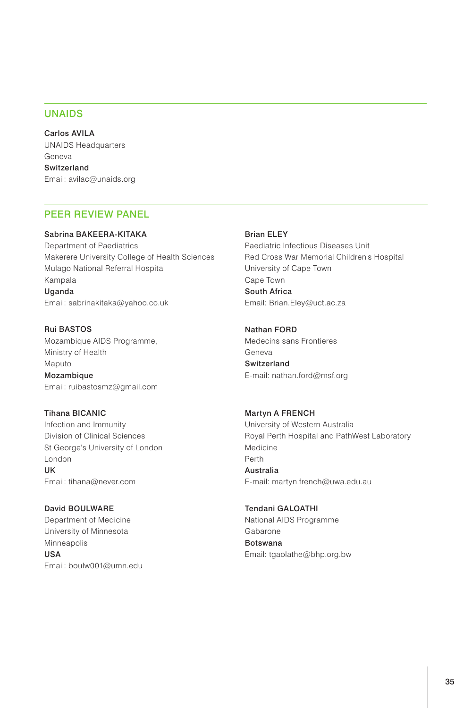#### UNAIDS

Carlos AVILA UNAIDS Headquarters Geneva Switzerland Email: avilac@unaids.org

#### PEER REVIEW PANEL

Sabrina BAKEERA-KITAKA Department of Paediatrics Makerere University College of Health Sciences Mulago National Referral Hospital Kampala Uganda Email: sabrinakitaka@yahoo.co.uk

Rui BASTOS Mozambique AIDS Programme, Ministry of Health Maputo Mozambique Email: ruibastosmz@gmail.com

Tihana BICANIC Infection and Immunity Division of Clinical Sciences St George's University of London London UK Email: tihana@never.com

David BOULWARE Department of Medicine University of Minnesota Minneapolis USA Email: boulw001@umn.edu

#### Brian ELEY

Paediatric Infectious Diseases Unit Red Cross War Memorial Children's Hospital University of Cape Town Cape Town South Africa Email: Brian.Eley@uct.ac.za

Nathan FORD Medecins sans Frontieres Geneva Switzerland E-mail: nathan.ford@msf.org

Martyn A FRENCH University of Western Australia Royal Perth Hospital and PathWest Laboratory Medicine Perth Australia E-mail: martyn.french@uwa.edu.au

Tendani GALOATHI National AIDS Programme Gabarone Botswana Email: tgaolathe@bhp.org.bw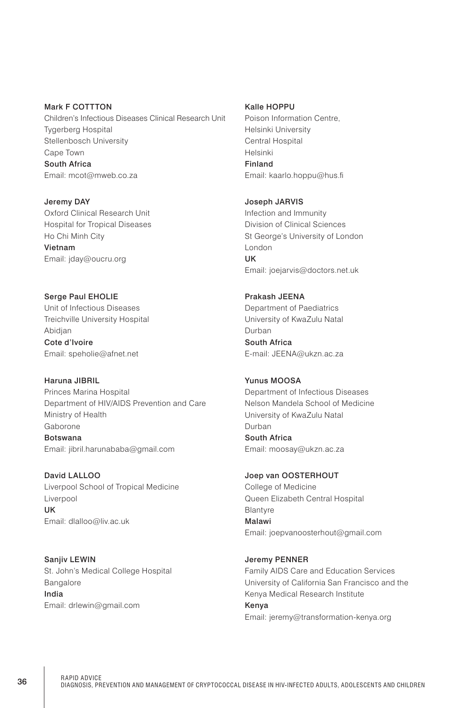#### Mark F COTTTON

Children's Infectious Diseases Clinical Research Unit Tygerberg Hospital Stellenbosch University Cape Town South Africa Email: mcot@mweb.co.za

Jeremy DAY Oxford Clinical Research Unit Hospital for Tropical Diseases Ho Chi Minh City Vietnam Email: jday@oucru.org

Serge Paul EHOLIE Unit of Infectious Diseases Treichville University Hospital Abidjan Cote d'Ivoire Email: speholie@afnet.net

Haruna JIBRIL Princes Marina Hospital Department of HIV/AIDS Prevention and Care Ministry of Health Gaborone

Botswana Email: jibril.harunababa@gmail.com

David LALLOO Liverpool School of Tropical Medicine Liverpool UK Email: dlalloo@liv.ac.uk

Sanjiy LEWIN St. John's Medical College Hospital Bangalore India Email: drlewin@gmail.com

#### Kalle HOPPU

Poison Information Centre, Helsinki University Central Hospital Helsinki Finland Email: kaarlo.hoppu@hus.fi

Joseph JARVIS

Infection and Immunity Division of Clinical Sciences St George's University of London London UK Email: joejarvis@doctors.net.uk

Prakash JEENA Department of Paediatrics University of KwaZulu Natal Durban South Africa

E-mail: JEENA@ukzn.ac.za

Yunus MOOSA Department of Infectious Diseases Nelson Mandela School of Medicine University of KwaZulu Natal Durban South Africa Email: moosay@ukzn.ac.za

Joep van OOSTERHOUT College of Medicine Queen Elizabeth Central Hospital Blantyre Malawi Email: joepvanoosterhout@gmail.com

Jeremy PENNER Family AIDS Care and Education Services University of California San Francisco and the Kenya Medical Research Institute Kenya Email: jeremy@transformation-kenya.org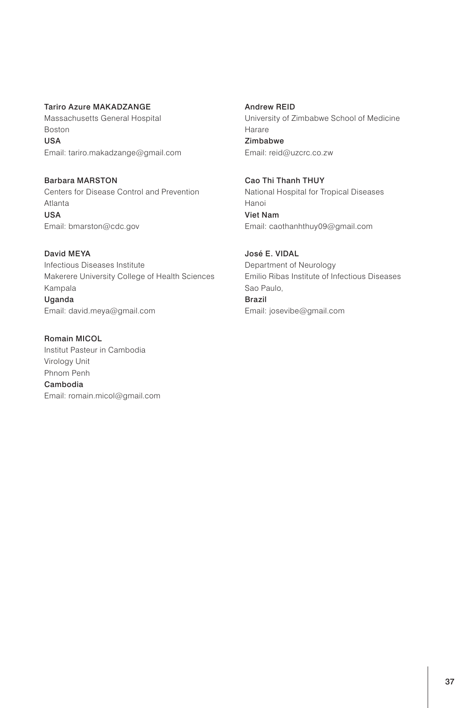### Tariro Azure MAKADZANGE

Massachusetts General Hospital Boston USA Email: tariro.makadzange@gmail.com

Barbara MARSTON Centers for Disease Control and Prevention Atlanta USA Email: bmarston@cdc.gov

David MEYA

Infectious Diseases Institute Makerere University College of Health Sciences Kampala Uganda Email: david.meya@gmail.com

Romain MICOL

Institut Pasteur in Cambodia Virology Unit Phnom Penh

Cambodia Email: romain.micol@gmail.com Andrew REID University of Zimbabwe School of Medicine Harare Zimbabwe Email: reid@uzcrc.co.zw

Cao Thi Thanh THUY National Hospital for Tropical Diseases Hanoi Viet Nam Email: caothanhthuy09@gmail.com

José E. VIDAL Department of Neurology Emilio Ribas Institute of Infectious Diseases Sao Paulo, Brazil Email: josevibe@gmail.com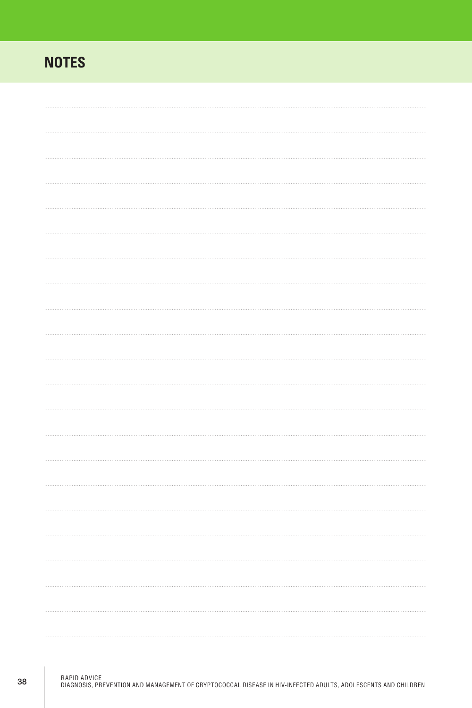## **NOTES**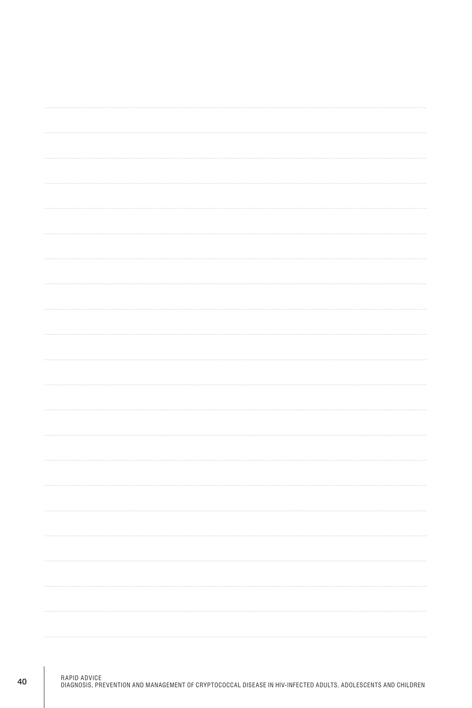RAPID ADVICE<br>DIAGNOSIS, PREVENTION AND MANAGEMENT OF CRYPTOCOCCAL DISEASE IN HIV-INFECTED ADULTS, ADOLESCENTS AND CHILDREN